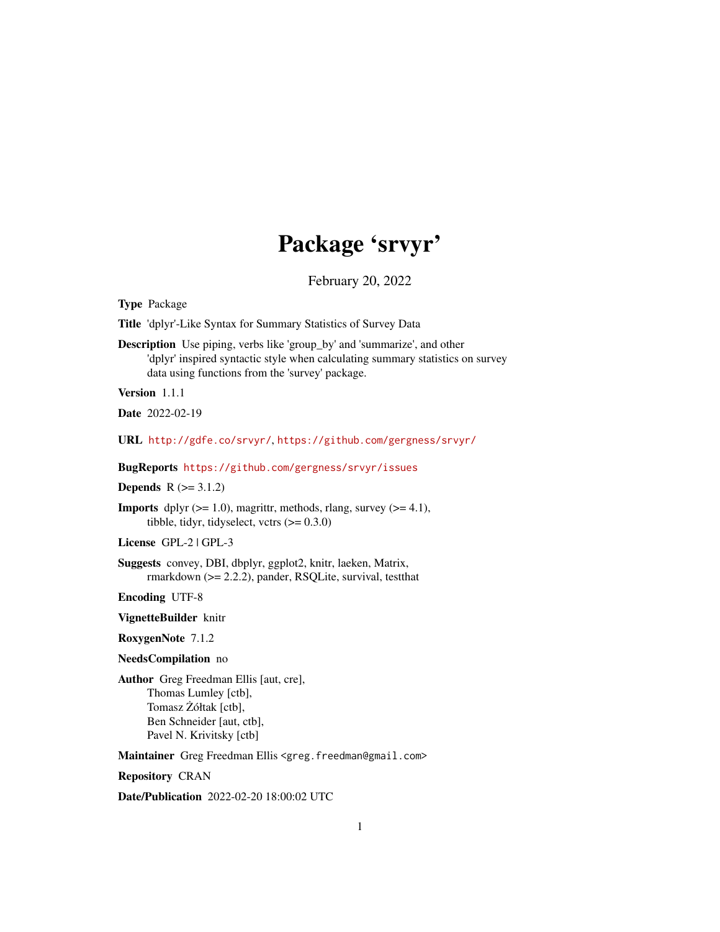## Package 'srvyr'

February 20, 2022

<span id="page-0-0"></span>Type Package

Title 'dplyr'-Like Syntax for Summary Statistics of Survey Data

Description Use piping, verbs like 'group\_by' and 'summarize', and other 'dplyr' inspired syntactic style when calculating summary statistics on survey data using functions from the 'survey' package.

Version 1.1.1

Date 2022-02-19

URL <http://gdfe.co/srvyr/>, <https://github.com/gergness/srvyr/>

BugReports <https://github.com/gergness/srvyr/issues>

**Depends**  $R (= 3.1.2)$ 

**Imports** dplyr  $(>= 1.0)$ , magrittr, methods, rlang, survey  $(>= 4.1)$ , tibble, tidyr, tidyselect, vctrs  $(>= 0.3.0)$ 

License GPL-2 | GPL-3

Suggests convey, DBI, dbplyr, ggplot2, knitr, laeken, Matrix, rmarkdown (>= 2.2.2), pander, RSQLite, survival, testthat

Encoding UTF-8

VignetteBuilder knitr

RoxygenNote 7.1.2

NeedsCompilation no

Author Greg Freedman Ellis [aut, cre], Thomas Lumley [ctb], Tomasz Żółtak [ctb], Ben Schneider [aut, ctb], Pavel N. Krivitsky [ctb]

Maintainer Greg Freedman Ellis <greg.freedman@gmail.com>

Repository CRAN

Date/Publication 2022-02-20 18:00:02 UTC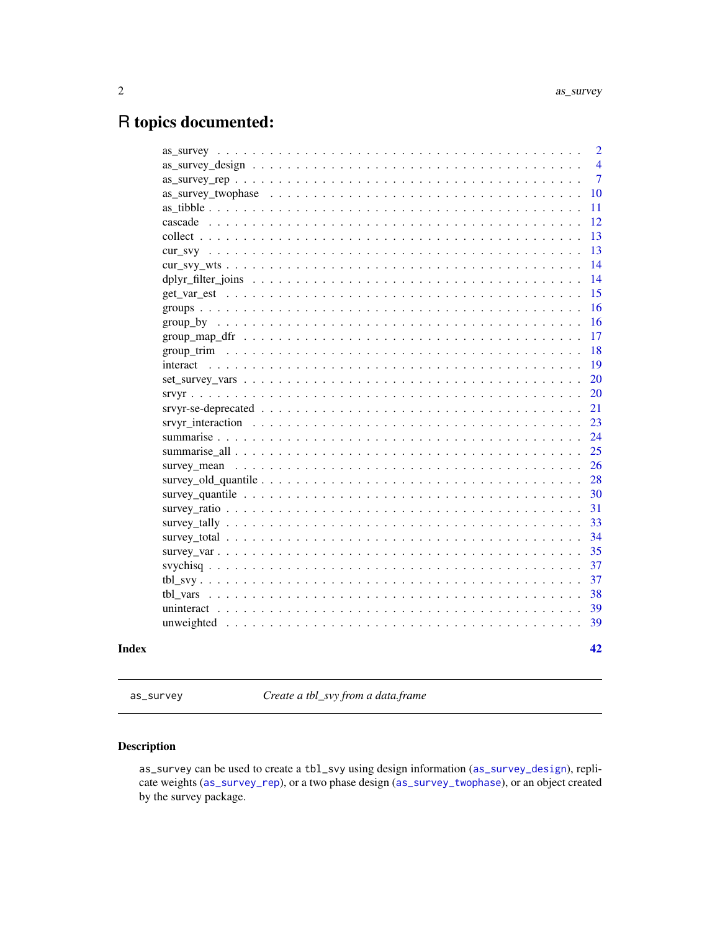## <span id="page-1-0"></span>R topics documented:

| Index |                                                                                                                | 42             |
|-------|----------------------------------------------------------------------------------------------------------------|----------------|
|       |                                                                                                                | 39             |
|       |                                                                                                                | 39             |
|       |                                                                                                                | 38             |
|       |                                                                                                                | 37             |
|       |                                                                                                                | 37             |
|       |                                                                                                                | 35             |
|       |                                                                                                                | 34             |
|       |                                                                                                                | 33             |
|       |                                                                                                                | 31             |
|       |                                                                                                                | 30             |
|       |                                                                                                                | 28             |
|       |                                                                                                                | 26             |
|       |                                                                                                                | 25             |
|       |                                                                                                                | 24             |
|       | srvyr interaction $\ldots \ldots \ldots \ldots \ldots \ldots \ldots \ldots \ldots \ldots \ldots \ldots \ldots$ | 23             |
|       |                                                                                                                | 21             |
|       |                                                                                                                | 20             |
|       |                                                                                                                | 20             |
|       |                                                                                                                | 19             |
|       |                                                                                                                | 18             |
|       |                                                                                                                | 17             |
|       |                                                                                                                | 16             |
|       |                                                                                                                | 16             |
|       |                                                                                                                | 15             |
|       |                                                                                                                | 14             |
|       |                                                                                                                | 13<br>14       |
|       |                                                                                                                | 13             |
|       |                                                                                                                | 12             |
|       |                                                                                                                | 11             |
|       |                                                                                                                | 10             |
|       |                                                                                                                | $\overline{7}$ |
|       |                                                                                                                | $\overline{4}$ |
|       |                                                                                                                | $\overline{2}$ |

<span id="page-1-1"></span>as\_survey *Create a tbl\_svy from a data.frame*

## Description

as\_survey can be used to create a tbl\_svy using design information ([as\\_survey\\_design](#page-3-1)), replicate weights ([as\\_survey\\_rep](#page-6-1)), or a two phase design ([as\\_survey\\_twophase](#page-9-1)), or an object created by the survey package.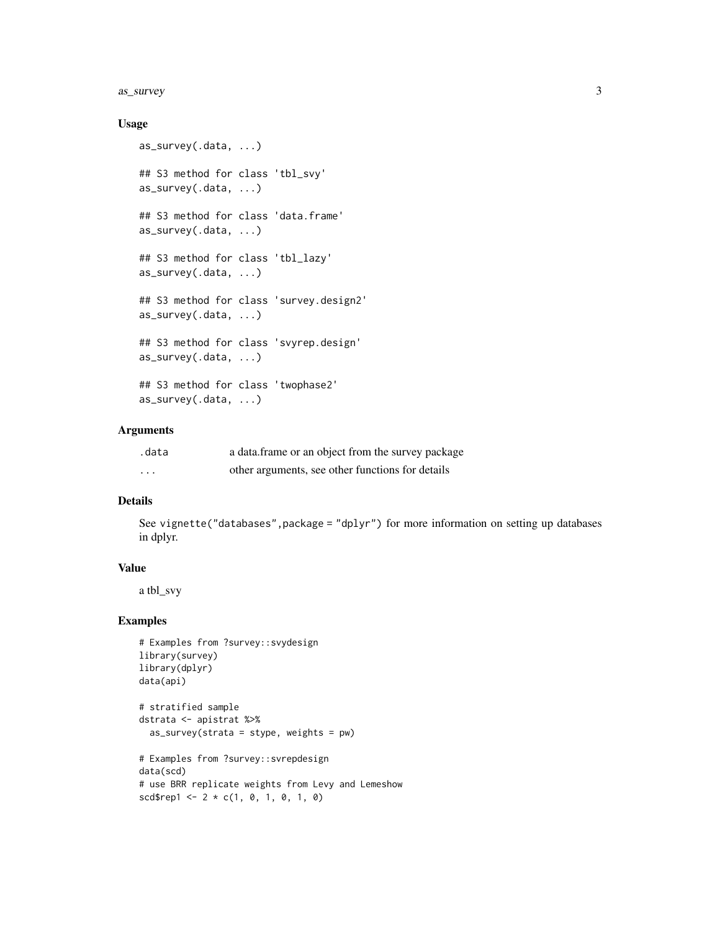#### as\_survey 3

## Usage

```
as_survey(.data, ...)
## S3 method for class 'tbl_svy'
as_survey(.data, ...)
## S3 method for class 'data.frame'
as_survey(.data, ...)
## S3 method for class 'tbl_lazy'
as_survey(.data, ...)
## S3 method for class 'survey.design2'
as_survey(.data, ...)
## S3 method for class 'svyrep.design'
as_survey(.data, ...)
## S3 method for class 'twophase2'
as_survey(.data, ...)
```
## Arguments

| .data    | a data frame or an object from the survey package |
|----------|---------------------------------------------------|
| $\cdots$ | other arguments, see other functions for details  |

## Details

See vignette("databases",package = "dplyr") for more information on setting up databases in dplyr.

#### Value

a tbl\_svy

```
# Examples from ?survey::svydesign
library(survey)
library(dplyr)
data(api)
# stratified sample
dstrata <- apistrat %>%
  as\_survey(strata = stype, weights = pw)# Examples from ?survey::svrepdesign
data(scd)
# use BRR replicate weights from Levy and Lemeshow
scd{srep1} < -2 * c(1, 0, 1, 0, 1, 0)
```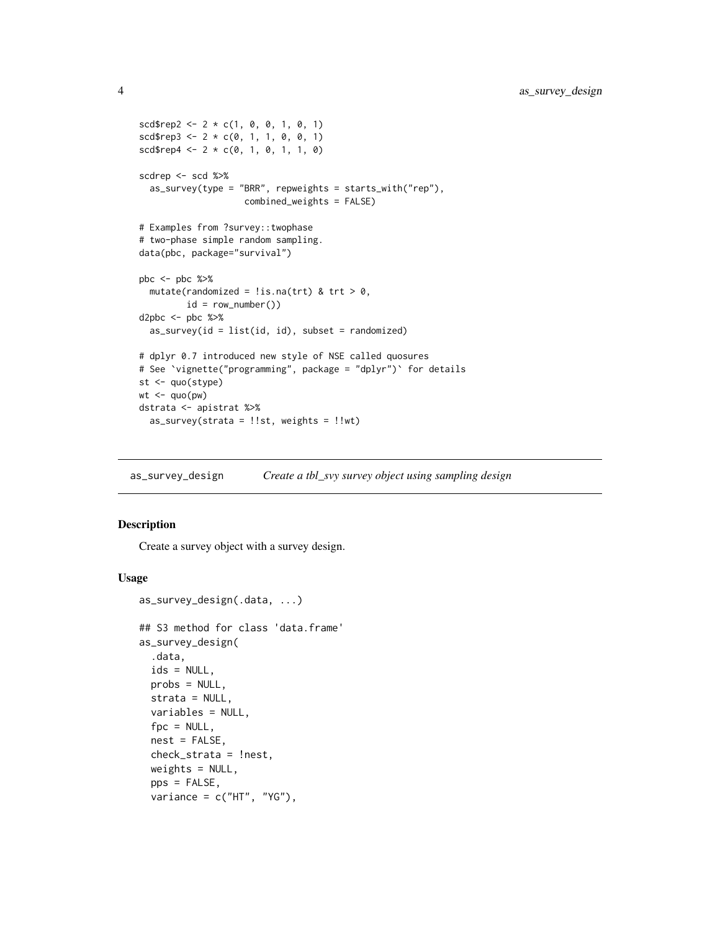```
scd{rep2} < -2 * c(1, 0, 0, 1, 0, 1)
scd \text{resp3} \leq 2 * c(0, 1, 1, 0, 0, 1)scdrep4 < -2 * c(0, 1, 0, 1, 1, 0)scdrep <- scd %>%
  as_survey(type = "BRR", repweights = starts_with("rep"),
                    combined_weights = FALSE)
# Examples from ?survey::twophase
# two-phase simple random sampling.
data(pbc, package="survival")
pbc <- pbc %>%
  mutate(randomized = !is.na(trt) & trt > 0,
         id = row_number()d2pbc <- pbc %>%
  as\_survey(id = list(id, id), subset = randomized)# dplyr 0.7 introduced new style of NSE called quosures
# See `vignette("programming", package = "dplyr")` for details
st <- quo(stype)
wt < - quo(pw)
dstrata <- apistrat %>%
  as_survey(strata = !!st, weights = !!wt)
```
<span id="page-3-1"></span>as\_survey\_design *Create a tbl\_svy survey object using sampling design*

#### Description

Create a survey object with a survey design.

#### Usage

```
as_survey_design(.data, ...)
## S3 method for class 'data.frame'
as_survey_design(
  .data,
  ids = NULL,probs = NULL,
  strata = NULL,
 variables = NULL,
  fpc = NULL,
 nest = FALSE,
  check_strata = !nest,
 weights = NULL,pps = FALSE,
  variance = c("HT", "YG"),
```
<span id="page-3-0"></span>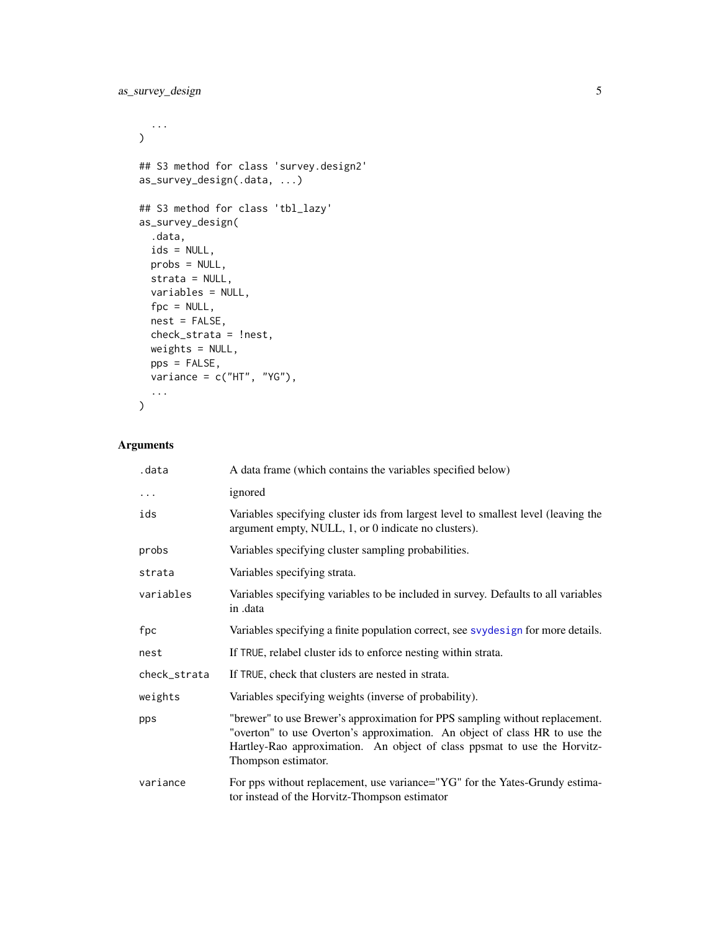```
...
\mathcal{L}## S3 method for class 'survey.design2'
as_survey_design(.data, ...)
## S3 method for class 'tbl_lazy'
as_survey_design(
  .data,
  ids = NULL,probs = NULL,
  strata = NULL,
  variables = NULL,
  fpc = NULL,nest = FALSE,
  check_strata = !nest,
  weights = NULL,
  pps = FALSE,
  variance = c("HT", "YG"),...
\mathcal{L}
```
## Arguments

| .data        | A data frame (which contains the variables specified below)                                                                                                                                                                                                   |
|--------------|---------------------------------------------------------------------------------------------------------------------------------------------------------------------------------------------------------------------------------------------------------------|
| .            | ignored                                                                                                                                                                                                                                                       |
| ids          | Variables specifying cluster ids from largest level to smallest level (leaving the<br>argument empty, NULL, 1, or 0 indicate no clusters).                                                                                                                    |
| probs        | Variables specifying cluster sampling probabilities.                                                                                                                                                                                                          |
| strata       | Variables specifying strata.                                                                                                                                                                                                                                  |
| variables    | Variables specifying variables to be included in survey. Defaults to all variables<br>in .data                                                                                                                                                                |
| fpc          | Variables specifying a finite population correct, see svydesign for more details.                                                                                                                                                                             |
| nest         | If TRUE, relabel cluster ids to enforce nesting within strata.                                                                                                                                                                                                |
| check_strata | If TRUE, check that clusters are nested in strata.                                                                                                                                                                                                            |
| weights      | Variables specifying weights (inverse of probability).                                                                                                                                                                                                        |
| pps          | "brewer" to use Brewer's approximation for PPS sampling without replacement.<br>"overton" to use Overton's approximation. An object of class HR to use the<br>Hartley-Rao approximation. An object of class ppsmat to use the Horvitz-<br>Thompson estimator. |
| variance     | For pps without replacement, use variance="YG" for the Yates-Grundy estima-<br>tor instead of the Horvitz-Thompson estimator                                                                                                                                  |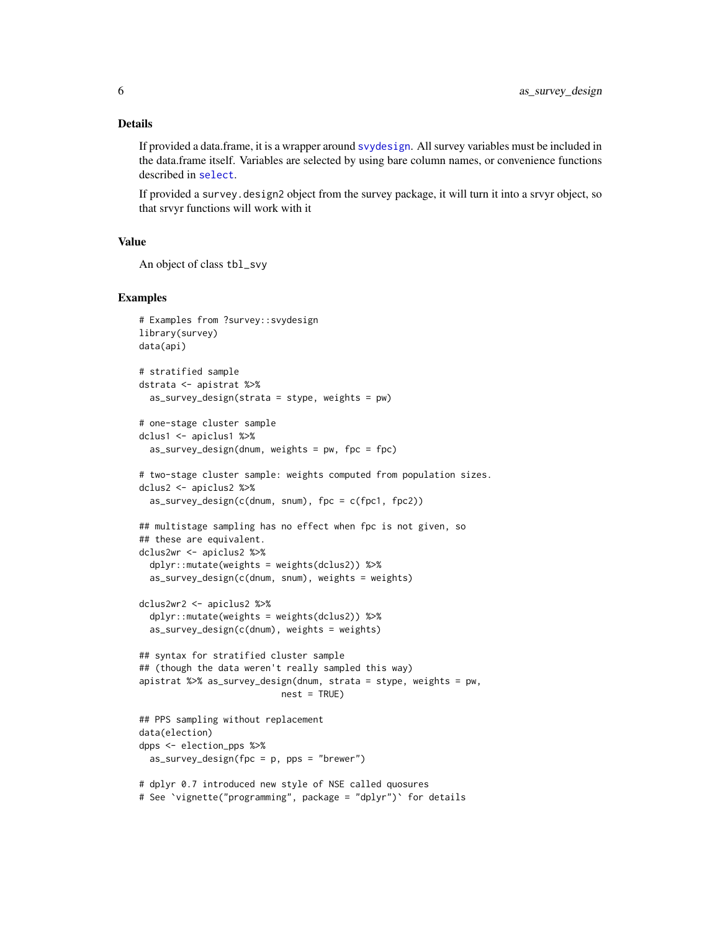## <span id="page-5-0"></span>Details

If provided a data.frame, it is a wrapper around [svydesign](#page-0-0). All survey variables must be included in the data.frame itself. Variables are selected by using bare column names, or convenience functions described in [select](#page-17-1).

If provided a survey.design2 object from the survey package, it will turn it into a srvyr object, so that srvyr functions will work with it

#### Value

```
An object of class tbl_svy
```

```
# Examples from ?survey::svydesign
library(survey)
data(api)
# stratified sample
dstrata <- apistrat %>%
 as\_survey\_design(\text{strata} = \text{style}, \text{weights} = \text{pw})# one-stage cluster sample
dclus1 <- apiclus1 %>%
 as_survey_design(dnum, weights = pw, fpc = fpc)
# two-stage cluster sample: weights computed from population sizes.
dclus2 <- apiclus2 %>%
 as_survey_design(c(dnum, snum), fpc = c(fpc1, fpc2))
## multistage sampling has no effect when fpc is not given, so
## these are equivalent.
dclus2wr <- apiclus2 %>%
 dplyr::mutate(weights = weights(dclus2)) %>%
 as_survey_design(c(dnum, snum), weights = weights)
dclus2wr2 <- apiclus2 %>%
 dplyr::mutate(weights = weights(dclus2)) %>%
 as_survey_design(c(dnum), weights = weights)
## syntax for stratified cluster sample
## (though the data weren't really sampled this way)
apistrat %>% as_survey_design(dnum, strata = stype, weights = pw,
                           nest = TRUE)
## PPS sampling without replacement
data(election)
dpps <- election_pps %>%
 as_survey_design(fpc = p, pps = "brewer")
# dplyr 0.7 introduced new style of NSE called quosures
# See `vignette("programming", package = "dplyr")` for details
```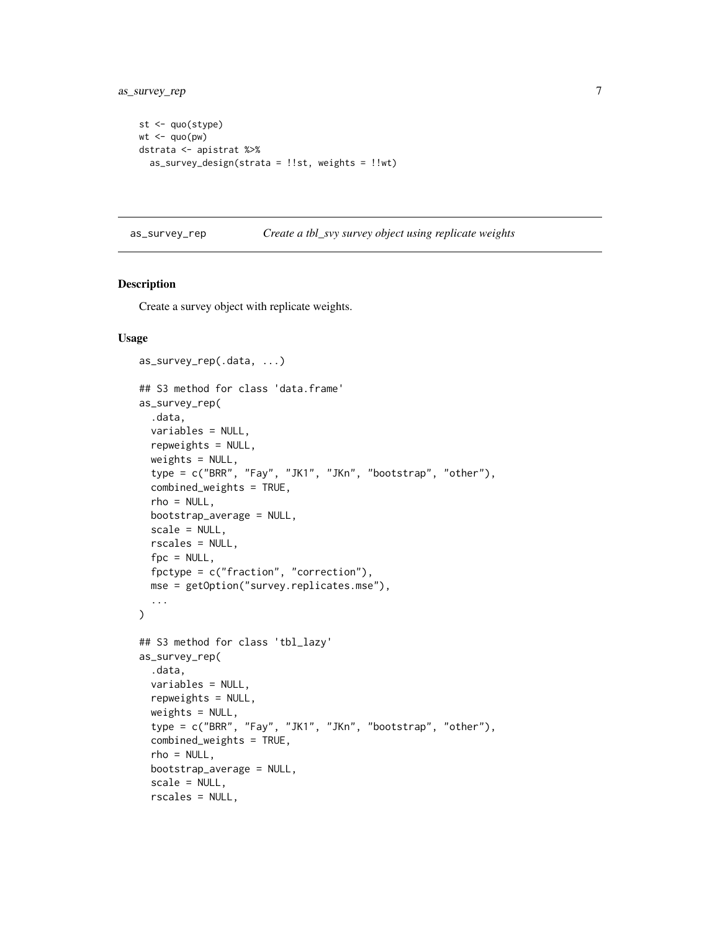```
st <- quo(stype)
wt < - quo(pw)
dstrata <- apistrat %>%
  as_survey_design(strata = !!st, weights = !!wt)
```
<span id="page-6-1"></span>as\_survey\_rep *Create a tbl\_svy survey object using replicate weights*

## Description

Create a survey object with replicate weights.

#### Usage

```
as_survey_rep(.data, ...)
## S3 method for class 'data.frame'
as_survey_rep(
  .data,
 variables = NULL,
  repweights = NULL,
  weights = NULL,type = c("BRR", "Fay", "JK1", "JKn", "bootstrap", "other"),
  combined_weights = TRUE,
  rho = NULL,
  bootstrap_average = NULL,
  scale = NULL,
  rscales = NULL,
  fpc = NULL,fpctype = c("fraction", "correction"),
 mse = getOption("survey.replicates.mse"),
  ...
\mathcal{L}## S3 method for class 'tbl_lazy'
as_survey_rep(
  .data,
 variables = NULL,
  repweights = NULL,
  weights = NULL,type = c("BRR", "Fay", "JK1", "JKn", "bootstrap", "other"),
  combined_weights = TRUE,
  rho = NULL,bootstrap_average = NULL,
  scale = NULL,
  rscales = NULL,
```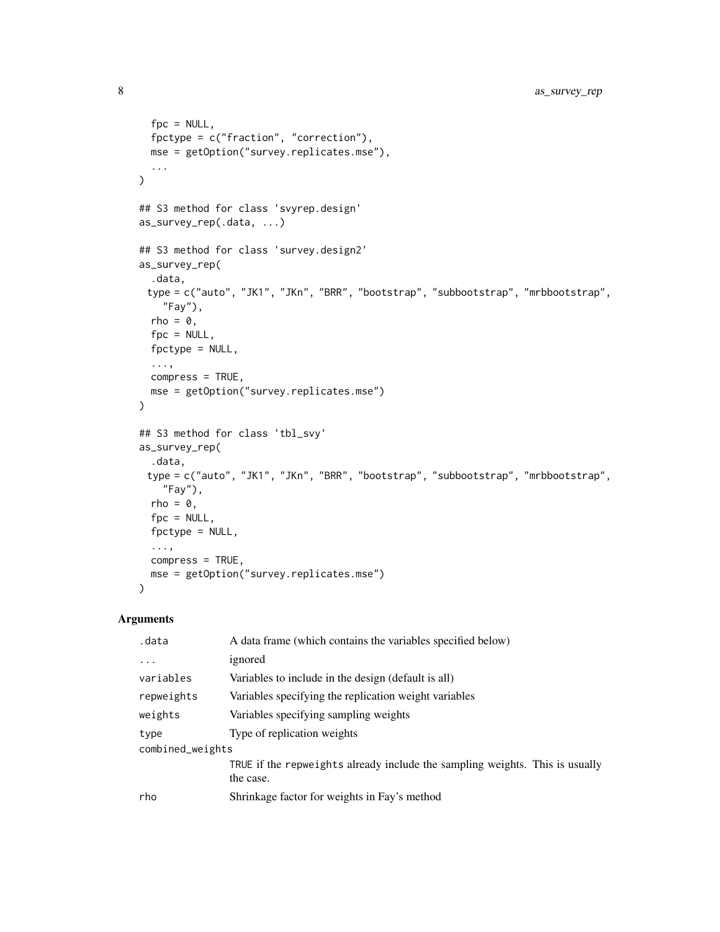```
fpc = NULL,fpctype = c("fraction", "correction"),
 mse = getOption("survey.replicates.mse"),
  ...
\mathcal{L}## S3 method for class 'svyrep.design'
as_survey_rep(.data, ...)
## S3 method for class 'survey.design2'
as_survey_rep(
  .data,
 type = c("auto", "JK1", "JKn", "BRR", "bootstrap", "subbootstrap", "mrbbootstrap",
    "Fay"),
 rho = 0,
 fpc = NULL,fpctype = NULL,
  ...,
 compress = TRUE,
 mse = getOption("survey.replicates.mse")
)
## S3 method for class 'tbl_svy'
as_survey_rep(
  .data,
 type = c("auto", "JK1", "JKn", "BRR", "bootstrap", "subbootstrap", "mrbbootstrap",
    "Fay"),
 rho = 0,
  fpc = NULL,fpctype = NULL,
  ...,
 compress = TRUE,
 mse = getOption("survey.replicates.mse")
\lambda
```
## Arguments

| .data            | A data frame (which contains the variables specified below)                               |  |
|------------------|-------------------------------------------------------------------------------------------|--|
| $\cdots$         | ignored                                                                                   |  |
| variables        | Variables to include in the design (default is all)                                       |  |
| repweights       | Variables specifying the replication weight variables                                     |  |
| weights          | Variables specifying sampling weights                                                     |  |
| type             | Type of replication weights                                                               |  |
| combined_weights |                                                                                           |  |
|                  | TRUE if the repweights already include the sampling weights. This is usually<br>the case. |  |
| rho              | Shrinkage factor for weights in Fay's method                                              |  |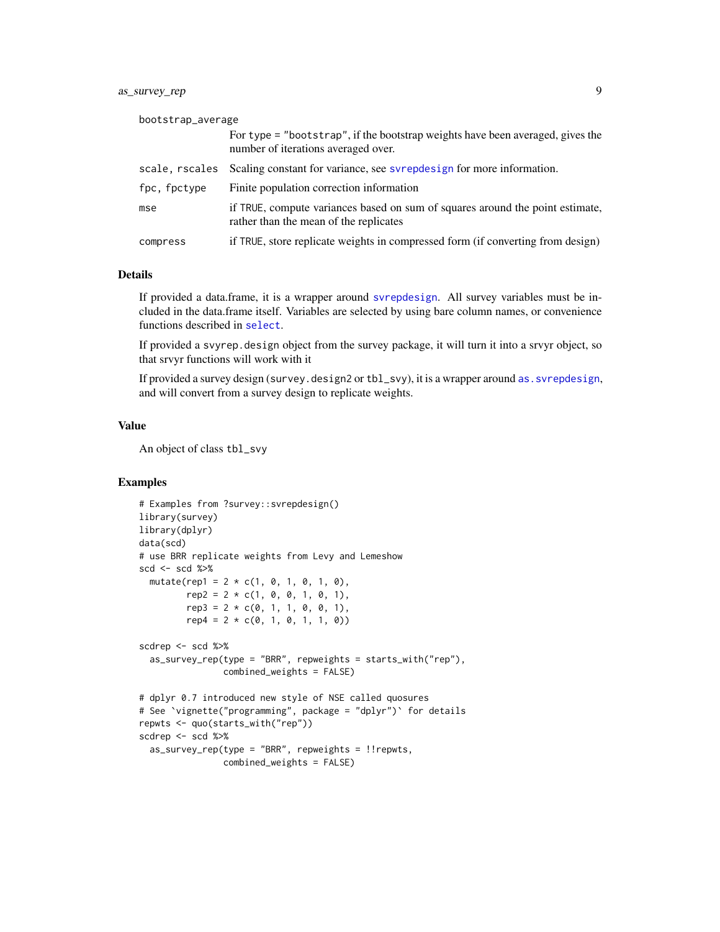## <span id="page-8-0"></span>as\_survey\_rep 9

| bootstrap_average |                                                                                                                         |
|-------------------|-------------------------------------------------------------------------------------------------------------------------|
|                   | For type = "bootstrap", if the bootstrap weights have been averaged, gives the<br>number of iterations averaged over.   |
| scale, rscales    | Scaling constant for variance, see syrepolesign for more information.                                                   |
| fpc, fpctype      | Finite population correction information                                                                                |
| mse               | if TRUE, compute variances based on sum of squares around the point estimate,<br>rather than the mean of the replicates |
| compress          | if TRUE, store replicate weights in compressed form (if converting from design)                                         |

## Details

If provided a data.frame, it is a wrapper around [svrepdesign](#page-0-0). All survey variables must be included in the data.frame itself. Variables are selected by using bare column names, or convenience functions described in [select](#page-17-1).

If provided a svyrep.design object from the survey package, it will turn it into a srvyr object, so that srvyr functions will work with it

If provided a survey design (survey.design2 or tbl\_svy), it is a wrapper around as. svrepdesign, and will convert from a survey design to replicate weights.

## Value

An object of class tbl\_svy

```
# Examples from ?survey::svrepdesign()
library(survey)
library(dplyr)
data(scd)
# use BRR replicate weights from Levy and Lemeshow
scd <- scd %>%
  mutate(rep1 = 2 * c(1, 0, 1, 0, 1, 0),
        rep2 = 2 * c(1, 0, 0, 1, 0, 1),rep3 = 2 * c(0, 1, 1, 0, 0, 1),rep4 = 2 * c(0, 1, 0, 1, 1, 0)scdrep <- scd %>%
  as_survey_rep(type = "BRR", repweights = starts_with("rep"),
                combined_weights = FALSE)
# dplyr 0.7 introduced new style of NSE called quosures
# See `vignette("programming", package = "dplyr")` for details
repwts <- quo(starts_with("rep"))
scdrep <- scd %>%
  as\_survey\_rep(type = "BRR", repweights = !reputs,combined_weights = FALSE)
```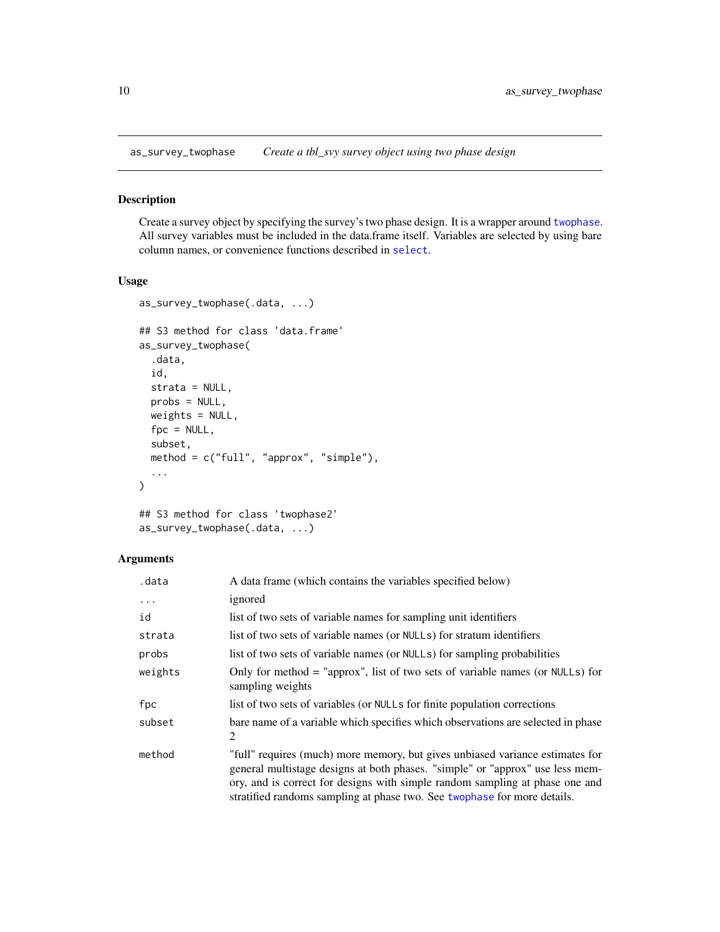<span id="page-9-1"></span><span id="page-9-0"></span>as\_survey\_twophase *Create a tbl\_svy survey object using two phase design*

## Description

Create a survey object by specifying the survey's two phase design. It is a wrapper around [twophase](#page-0-0). All survey variables must be included in the data.frame itself. Variables are selected by using bare column names, or convenience functions described in [select](#page-17-1).

## Usage

```
as_survey_twophase(.data, ...)
## S3 method for class 'data.frame'
as_survey_twophase(
  .data,
  id,
  strata = NULL,
 probs = NULL,
 weights = NULL,
 fpc = NULL,subset,
 method = c("full", "approx", "simple"),
  ...
)
```

```
## S3 method for class 'twophase2'
as_survey_twophase(.data, ...)
```
## Arguments

| .data    | A data frame (which contains the variables specified below)                                                                                                                                                                                                                                                                 |
|----------|-----------------------------------------------------------------------------------------------------------------------------------------------------------------------------------------------------------------------------------------------------------------------------------------------------------------------------|
| $\cdots$ | ignored                                                                                                                                                                                                                                                                                                                     |
| id       | list of two sets of variable names for sampling unit identifiers                                                                                                                                                                                                                                                            |
| strata   | list of two sets of variable names (or NULLs) for stratum identifiers                                                                                                                                                                                                                                                       |
| probs    | list of two sets of variable names (or NULLs) for sampling probabilities                                                                                                                                                                                                                                                    |
| weights  | Only for method $=$ "approx", list of two sets of variable names (or NULLs) for<br>sampling weights                                                                                                                                                                                                                         |
| fpc      | list of two sets of variables (or NULLs for finite population corrections                                                                                                                                                                                                                                                   |
| subset   | bare name of a variable which specifies which observations are selected in phase<br>2                                                                                                                                                                                                                                       |
| method   | "full" requires (much) more memory, but gives unbiased variance estimates for<br>general multistage designs at both phases. "simple" or "approx" use less mem-<br>ory, and is correct for designs with simple random sampling at phase one and<br>stratified randoms sampling at phase two. See two phase for more details. |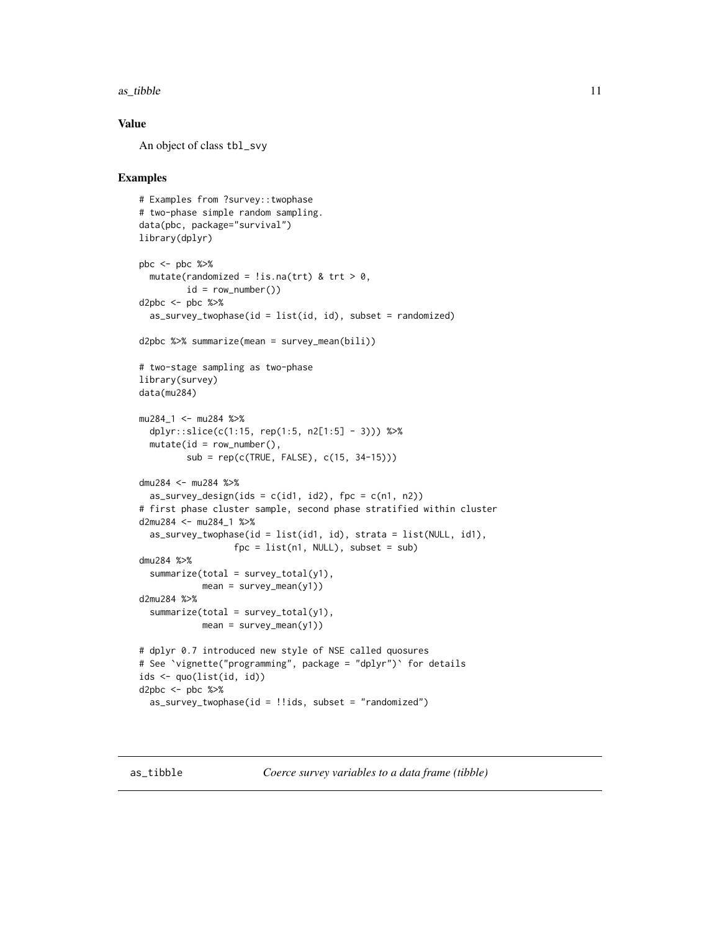#### <span id="page-10-0"></span> $\alpha$ s\_tibble 11

## Value

An object of class tbl\_svy

```
# Examples from ?survey::twophase
# two-phase simple random sampling.
data(pbc, package="survival")
library(dplyr)
pbc <- pbc %>%
 mutate(randomized = !is.na(trt) & trt > 0,
        id = row_number()d2pbc <- pbc %>%
 as\_survey\_twophase(id = list(id, id), subset = randomized)d2pbc %>% summarize(mean = survey_mean(bili))
# two-stage sampling as two-phase
library(survey)
data(mu284)
mu284_1 <- mu284 %>%
 dplyr::slice(c(1:15, rep(1:5, n2[1:5] - 3))) %>%
 mutate(id = row_number(),sub = rep(c(TRUE, FALSE), c(15, 34-15)))
dmu284 <- mu284 %>%
 as_survey_design(ids = c(id1, id2), fpc = c(n1, n2))
# first phase cluster sample, second phase stratified within cluster
d2mu284 <- mu284_1 %>%
 as_survey_twophase(id = list(id1, id), strata = list(NULL, id1),
                 fpc = list(n1, NULL), subset = sub)dmu284 %>%
 summarize(total = survey\_total(y1),mean = survey_mean(y1)d2mu284 %>%
 summarize(total = survey\_total(y1),mean = survey_mean(y1)# dplyr 0.7 introduced new style of NSE called quosures
# See `vignette("programming", package = "dplyr")` for details
ids <- quo(list(id, id))
d2pbc \leq pbc %\geq%
 as_survey_twophase(id = !ids, subset = "randomized")
```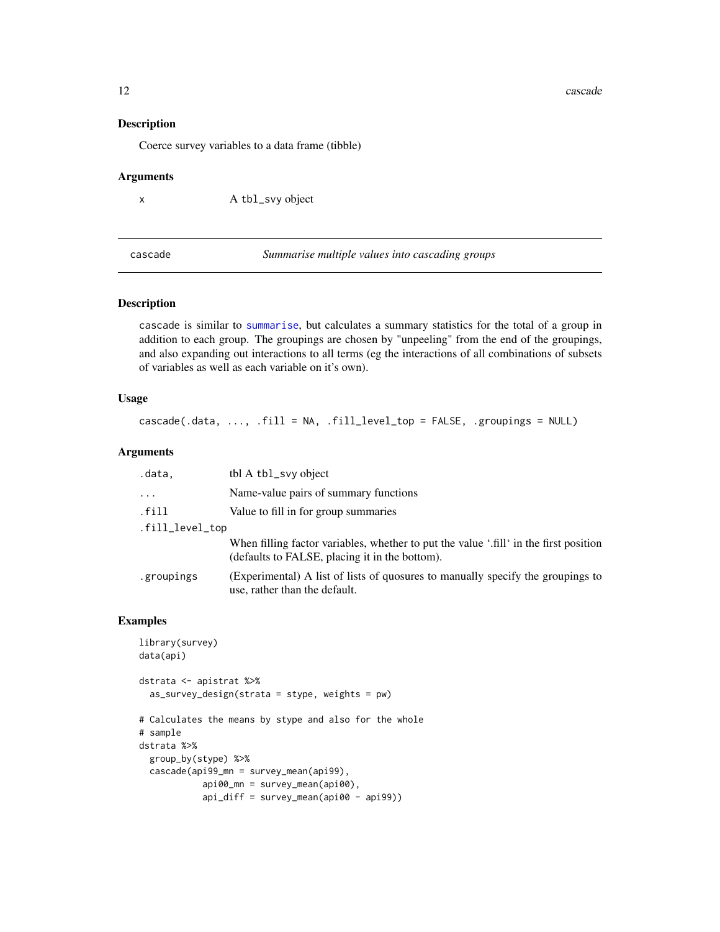12 cascade and the cascade of the cascade cascade and the cascade of the cascade cascade of the cascade of the cascade of the cascade of the cascade of the cascade of the cascade of the cascade of the cascade of the cascad

## Description

Coerce survey variables to a data frame (tibble)

#### Arguments

x A tbl\_svy object

cascade *Summarise multiple values into cascading groups*

## Description

cascade is similar to [summarise](#page-23-1), but calculates a summary statistics for the total of a group in addition to each group. The groupings are chosen by "unpeeling" from the end of the groupings, and also expanding out interactions to all terms (eg the interactions of all combinations of subsets of variables as well as each variable on it's own).

#### Usage

cascade(.data, ..., .fill = NA, .fill\_level\_top = FALSE, .groupings = NULL)

## Arguments

| .data,          | tbl A tbl_svy object                                                                                                                    |
|-----------------|-----------------------------------------------------------------------------------------------------------------------------------------|
| $\cdots$        | Name-value pairs of summary functions                                                                                                   |
| .fill           | Value to fill in for group summaries                                                                                                    |
| .fill_level_top |                                                                                                                                         |
|                 | When filling factor variables, whether to put the value '.fill' in the first position<br>(defaults to FALSE, placing it in the bottom). |
| .groupings      | (Experimental) A list of lists of quosures to manually specify the groupings to<br>use, rather than the default.                        |

```
library(survey)
data(api)
dstrata <- apistrat %>%
  as_survey_design(strata = stype, weights = pw)
# Calculates the means by stype and also for the whole
# sample
dstrata %>%
  group_by(stype) %>%
  cascade(api99_mn = survey_mean(api99),
            api00_mn = survey_mean(api00),
            api_diff = survey_mean(api00 - api99))
```
<span id="page-11-0"></span>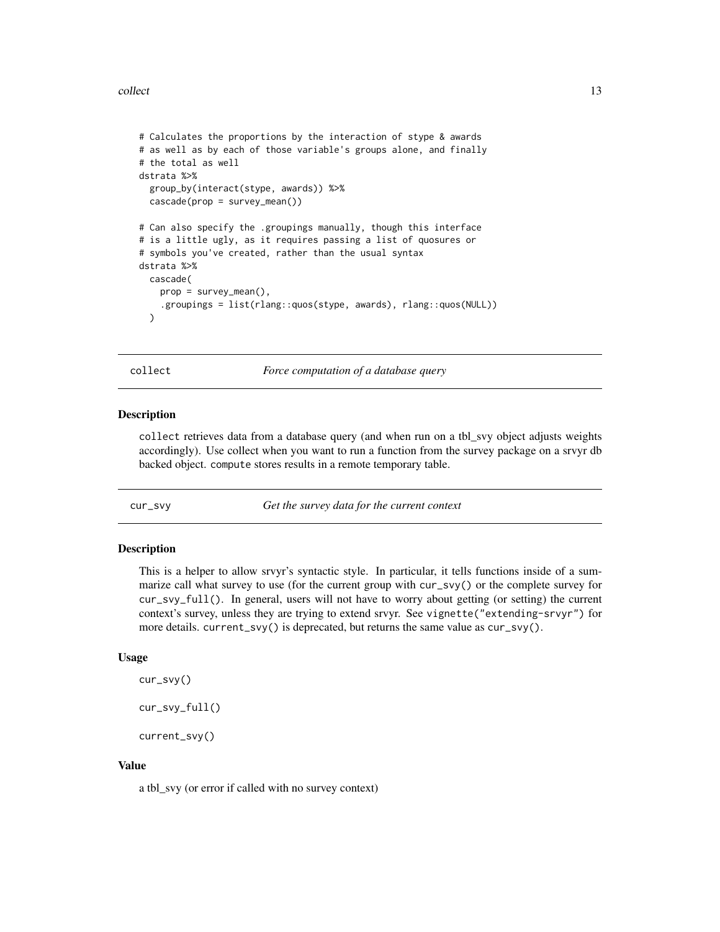#### <span id="page-12-0"></span>collect the collect of the collect the collect of the collect the collect of the collect of the collect of the collect of the collect of the collect of the collect of the collect of the collect of the collect of the collec

```
# Calculates the proportions by the interaction of stype & awards
# as well as by each of those variable's groups alone, and finally
# the total as well
dstrata %>%
 group_by(interact(stype, awards)) %>%
 cascade(prop = survey_mean())
# Can also specify the .groupings manually, though this interface
# is a little ugly, as it requires passing a list of quosures or
# symbols you've created, rather than the usual syntax
dstrata %>%
 cascade(
   prop = survey_mean(),
    .groupings = list(rlang::quos(stype, awards), rlang::quos(NULL))
 \lambda
```
collect *Force computation of a database query*

#### Description

collect retrieves data from a database query (and when run on a tbl\_svy object adjusts weights accordingly). Use collect when you want to run a function from the survey package on a srvyr db backed object. compute stores results in a remote temporary table.

cur\_svy *Get the survey data for the current context*

#### Description

This is a helper to allow srvyr's syntactic style. In particular, it tells functions inside of a summarize call what survey to use (for the current group with cur\_svy() or the complete survey for cur\_svy\_full(). In general, users will not have to worry about getting (or setting) the current context's survey, unless they are trying to extend srvyr. See vignette("extending-srvyr") for more details. current\_svy() is deprecated, but returns the same value as cur\_svy().

## Usage

```
cur_svy()
cur_svy_full()
current_svy()
```
### Value

a tbl\_svy (or error if called with no survey context)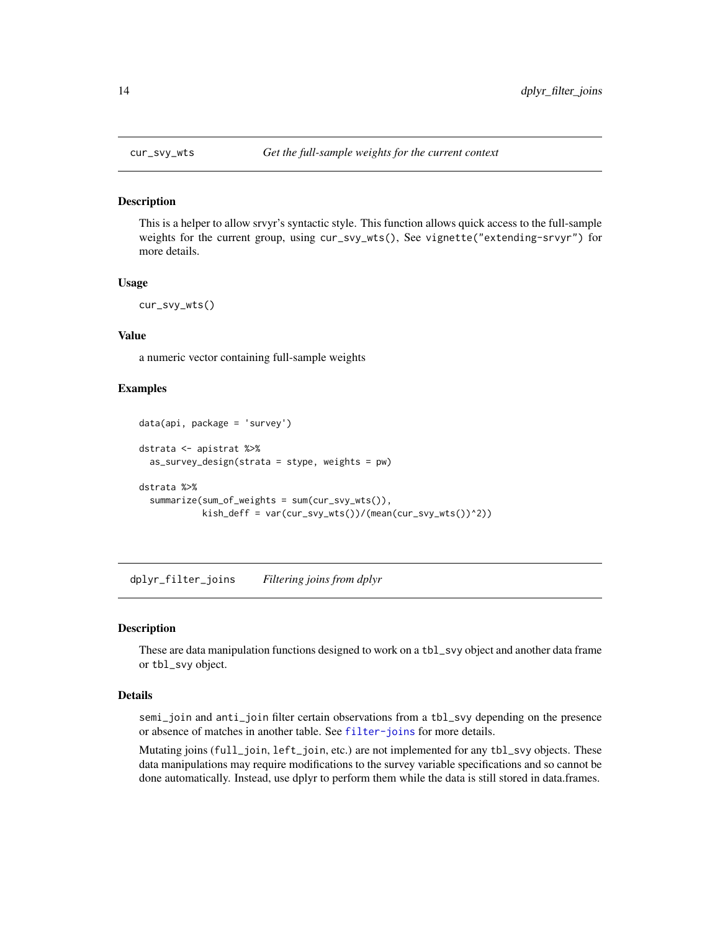<span id="page-13-0"></span>

This is a helper to allow srvyr's syntactic style. This function allows quick access to the full-sample weights for the current group, using cur\_svy\_wts(), See vignette("extending-srvyr") for more details.

#### Usage

cur\_svy\_wts()

## Value

a numeric vector containing full-sample weights

## Examples

```
data(api, package = 'survey')
dstrata <- apistrat %>%
  as_survey_design(strata = stype, weights = pw)
dstrata %>%
  summarize(sum_of_weights = sum(cur_svy_wts()),
            kish_deff = var(cur_svy_wts())/(mean(cur_svy_wts())^2))
```
dplyr\_filter\_joins *Filtering joins from dplyr*

## Description

These are data manipulation functions designed to work on a tbl\_svy object and another data frame or tbl\_svy object.

#### Details

semi\_join and anti\_join filter certain observations from a tbl\_svy depending on the presence or absence of matches in another table. See [filter-joins](#page-0-0) for more details.

Mutating joins (full\_join, left\_join, etc.) are not implemented for any tbl\_svy objects. These data manipulations may require modifications to the survey variable specifications and so cannot be done automatically. Instead, use dplyr to perform them while the data is still stored in data.frames.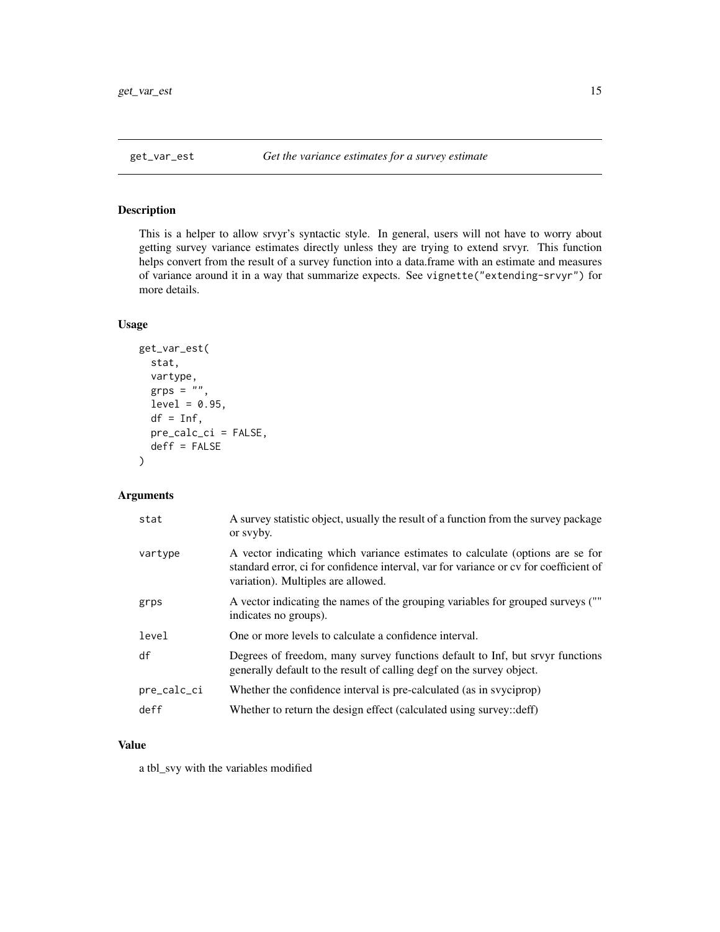<span id="page-14-0"></span>This is a helper to allow srvyr's syntactic style. In general, users will not have to worry about getting survey variance estimates directly unless they are trying to extend srvyr. This function helps convert from the result of a survey function into a data.frame with an estimate and measures of variance around it in a way that summarize expects. See vignette("extending-srvyr") for more details.

## Usage

```
get_var_est(
 stat,
 vartype,
  grps = ",
 level = 0.95,df = Inf,pre_calc_ci = FALSE,
 deff = FALSE)
```
## Arguments

| stat        | A survey statistic object, usually the result of a function from the survey package<br>or syyby.                                                                                                             |
|-------------|--------------------------------------------------------------------------------------------------------------------------------------------------------------------------------------------------------------|
| vartype     | A vector indicating which variance estimates to calculate (options are se for<br>standard error, ci for confidence interval, var for variance or cv for coefficient of<br>variation). Multiples are allowed. |
| grps        | A vector indicating the names of the grouping variables for grouped surveys (""<br>indicates no groups).                                                                                                     |
| level       | One or more levels to calculate a confidence interval.                                                                                                                                                       |
| df          | Degrees of freedom, many survey functions default to Inf, but srvyr functions<br>generally default to the result of calling degf on the survey object.                                                       |
| pre_calc_ci | Whether the confidence interval is pre-calculated (as in sypciprop)                                                                                                                                          |
| deff        | Whether to return the design effect (calculated using survey:: deff)                                                                                                                                         |

## Value

a tbl\_svy with the variables modified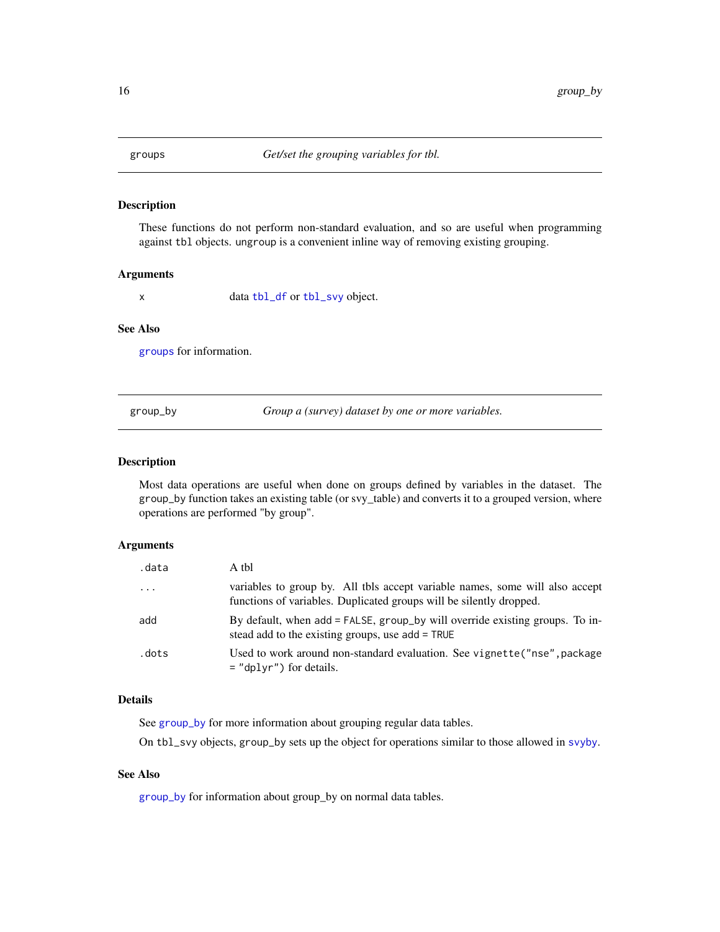<span id="page-15-1"></span><span id="page-15-0"></span>

These functions do not perform non-standard evaluation, and so are useful when programming against tbl objects. ungroup is a convenient inline way of removing existing grouping.

#### Arguments

x data [tbl\\_df](#page-0-0) or [tbl\\_svy](#page-36-1) object.

## See Also

[groups](#page-15-1) for information.

<span id="page-15-2"></span>group\_by *Group a (survey) dataset by one or more variables.*

#### Description

Most data operations are useful when done on groups defined by variables in the dataset. The group\_by function takes an existing table (or svy\_table) and converts it to a grouped version, where operations are performed "by group".

## Arguments

| .data      | A thl                                                                                                                                               |
|------------|-----------------------------------------------------------------------------------------------------------------------------------------------------|
| $\ddots$ . | variables to group by. All tbls accept variable names, some will also accept<br>functions of variables. Duplicated groups will be silently dropped. |
| add        | By default, when add = FALSE, group_by will override existing groups. To in-<br>stead add to the existing groups, use add = TRUE                    |
| .dots      | Used to work around non-standard evaluation. See vignette ("nse", package<br>$=$ "dplyr") for details.                                              |

## Details

See [group\\_by](#page-15-2) for more information about grouping regular data tables.

On tbl\_svy objects, group\_by sets up the object for operations similar to those allowed in [svyby](#page-0-0).

## See Also

[group\\_by](#page-15-2) for information about group\_by on normal data tables.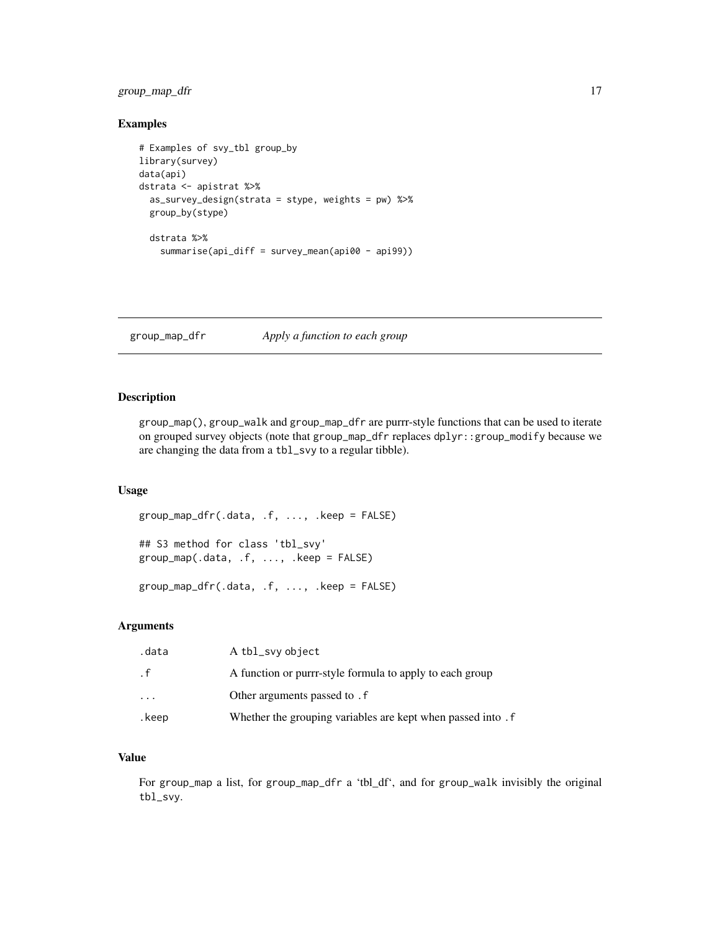## <span id="page-16-0"></span>group\_map\_dfr 17

## Examples

```
# Examples of svy_tbl group_by
library(survey)
data(api)
dstrata <- apistrat %>%
  as_survey_design(strata = stype, weights = pw) %>%
  group_by(stype)
  dstrata %>%
   summarise(api_diff = survey_mean(api00 - api99))
```
group\_map\_dfr *Apply a function to each group*

#### Description

group\_map(), group\_walk and group\_map\_dfr are purrr-style functions that can be used to iterate on grouped survey objects (note that group\_map\_dfr replaces dplyr::group\_modify because we are changing the data from a tbl\_svy to a regular tibble).

## Usage

```
group_map_dfr(.data, .f, ..., .keep = FALSE)
## S3 method for class 'tbl_svy'
group_map(.data, .f, ..., .keep = FALSE)
```
group\_map\_dfr(.data, .f, ..., .keep = FALSE)

## Arguments

| .data                   | A tbl_svy object                                             |
|-------------------------|--------------------------------------------------------------|
| . f                     | A function or purrr-style formula to apply to each group     |
| $\cdot$ $\cdot$ $\cdot$ | Other arguments passed to . f                                |
| .keep                   | Whether the grouping variables are kept when passed into . f |

## Value

For group\_map a list, for group\_map\_dfr a 'tbl\_df', and for group\_walk invisibly the original tbl\_svy.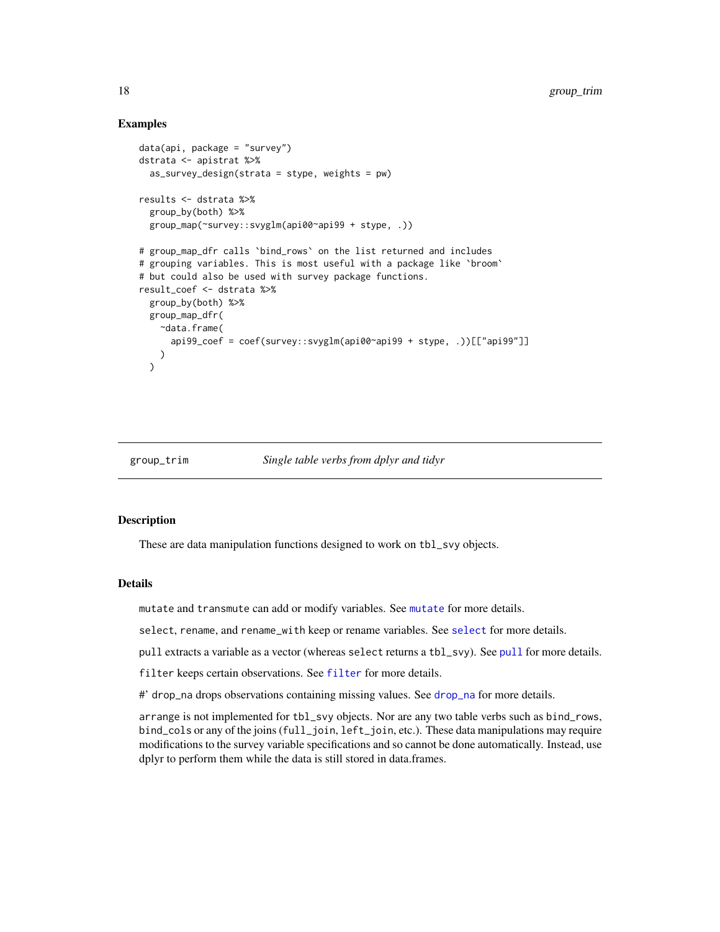## Examples

```
data(api, package = "survey")
dstrata <- apistrat %>%
 as_survey_design(strata = stype, weights = pw)
results <- dstrata %>%
 group_by(both) %>%
 group_map(~survey::svyglm(api00~api99 + stype, .))
# group_map_dfr calls `bind_rows` on the list returned and includes
# grouping variables. This is most useful with a package like `broom`
# but could also be used with survey package functions.
result_coef <- dstrata %>%
 group_by(both) %>%
 group_map_dfr(
   ~data.frame(
      api99_coef = coef(survey::svyglm(api00~api99 + stype, .))[["api99"]]
   )
 )
```
#### group\_trim *Single table verbs from dplyr and tidyr*

#### <span id="page-17-1"></span>Description

These are data manipulation functions designed to work on tbl\_svy objects.

#### Details

mutate and transmute can add or modify variables. See [mutate](#page-17-1) for more details.

select, rename, and rename\_with keep or rename variables. See [select](#page-17-1) for more details.

pull extracts a variable as a vector (whereas select returns a tbl\_svy). See [pull](#page-17-1) for more details.

filter keeps certain observations. See [filter](#page-17-1) for more details.

#' drop\_na drops observations containing missing values. See [drop\\_na](#page-17-1) for more details.

arrange is not implemented for tbl\_svy objects. Nor are any two table verbs such as bind\_rows, bind\_cols or any of the joins (full\_join, left\_join, etc.). These data manipulations may require modifications to the survey variable specifications and so cannot be done automatically. Instead, use dplyr to perform them while the data is still stored in data.frames.

<span id="page-17-0"></span>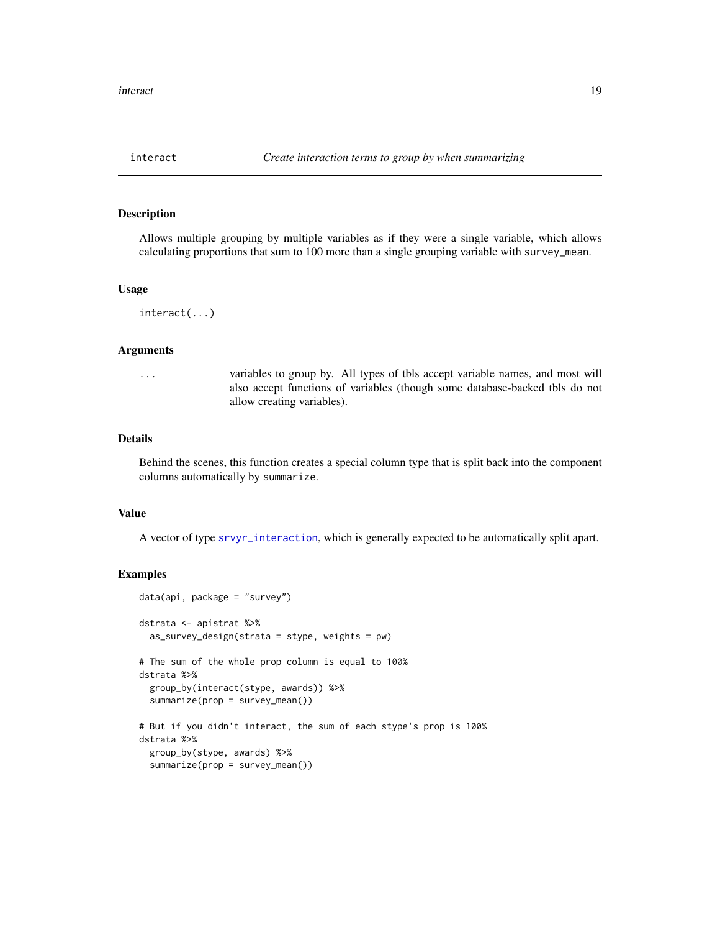<span id="page-18-1"></span><span id="page-18-0"></span>

Allows multiple grouping by multiple variables as if they were a single variable, which allows calculating proportions that sum to 100 more than a single grouping variable with survey\_mean.

#### Usage

interact(...)

#### Arguments

... variables to group by. All types of tbls accept variable names, and most will also accept functions of variables (though some database-backed tbls do not allow creating variables).

#### Details

Behind the scenes, this function creates a special column type that is split back into the component columns automatically by summarize.

## Value

A vector of type [srvyr\\_interaction](#page-22-1), which is generally expected to be automatically split apart.

```
data(api, package = "survey")
dstrata <- apistrat %>%
  as_survey_design(strata = stype, weights = pw)
# The sum of the whole prop column is equal to 100%
dstrata %>%
  group_by(interact(stype, awards)) %>%
  summarize(prop = survey_mean())
# But if you didn't interact, the sum of each stype's prop is 100%
dstrata %>%
  group_by(stype, awards) %>%
  summarize(prop = survey_mean())
```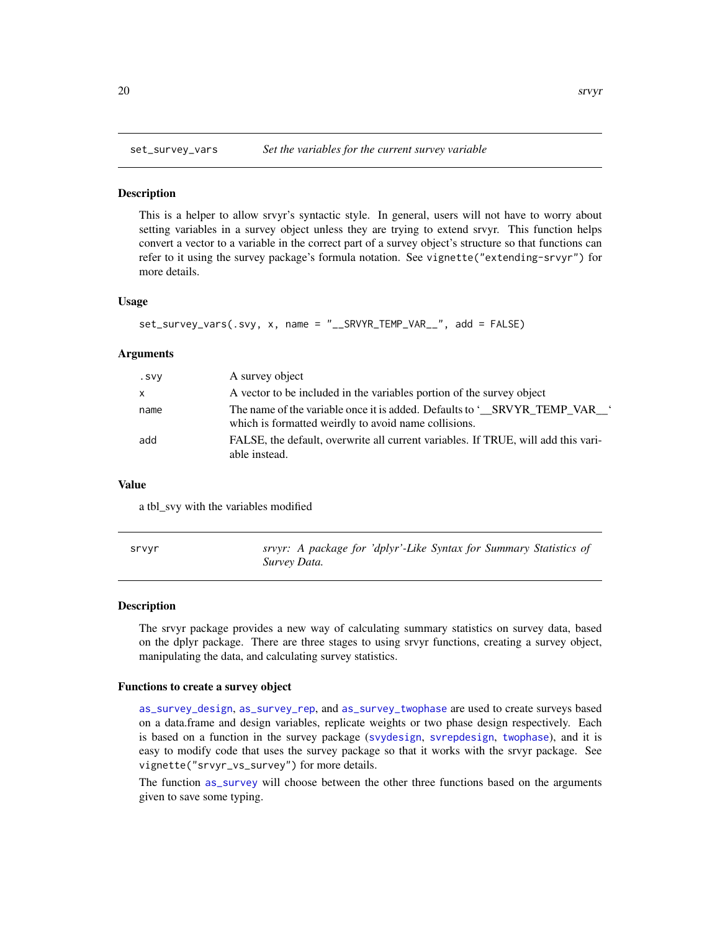<span id="page-19-0"></span>

This is a helper to allow srvyr's syntactic style. In general, users will not have to worry about setting variables in a survey object unless they are trying to extend srvyr. This function helps convert a vector to a variable in the correct part of a survey object's structure so that functions can refer to it using the survey package's formula notation. See vignette("extending-srvyr") for more details.

#### Usage

```
set_survey_vars(.svy, x, name = "__SRVYR_TEMP_VAR__", add = FALSE)
```
#### Arguments

| . SVY        | A survey object                                                                                                                  |
|--------------|----------------------------------------------------------------------------------------------------------------------------------|
| $\mathsf{x}$ | A vector to be included in the variables portion of the survey object                                                            |
| name         | The name of the variable once it is added. Defaults to 'SRVYR TEMP VAR '<br>which is formatted weirdly to avoid name collisions. |
| add          | FALSE, the default, overwrite all current variables. If TRUE, will add this vari-<br>able instead.                               |

#### Value

a tbl\_svy with the variables modified

| srvyr | srvyr: A package for 'dplyr'-Like Syntax for Summary Statistics of |
|-------|--------------------------------------------------------------------|
|       | Survey Data.                                                       |

#### Description

The srvyr package provides a new way of calculating summary statistics on survey data, based on the dplyr package. There are three stages to using srvyr functions, creating a survey object, manipulating the data, and calculating survey statistics.

#### Functions to create a survey object

[as\\_survey\\_design](#page-3-1), [as\\_survey\\_rep](#page-6-1), and [as\\_survey\\_twophase](#page-9-1) are used to create surveys based on a data.frame and design variables, replicate weights or two phase design respectively. Each is based on a function in the survey package ([svydesign](#page-0-0), [svrepdesign](#page-0-0), [twophase](#page-0-0)), and it is easy to modify code that uses the survey package so that it works with the srvyr package. See vignette("srvyr\_vs\_survey") for more details.

The function [as\\_survey](#page-1-1) will choose between the other three functions based on the arguments given to save some typing.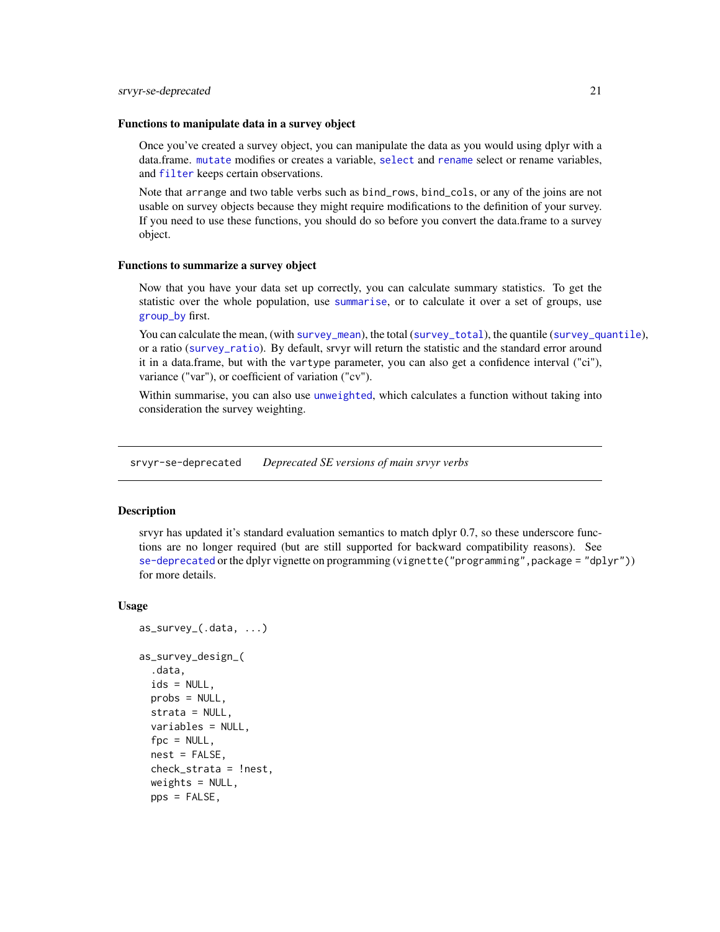#### <span id="page-20-0"></span>Functions to manipulate data in a survey object

Once you've created a survey object, you can manipulate the data as you would using dplyr with a data.frame. [mutate](#page-17-1) modifies or creates a variable, [select](#page-17-1) and [rename](#page-17-1) select or rename variables, and [filter](#page-17-1) keeps certain observations.

Note that arrange and two table verbs such as bind\_rows, bind\_cols, or any of the joins are not usable on survey objects because they might require modifications to the definition of your survey. If you need to use these functions, you should do so before you convert the data.frame to a survey object.

#### Functions to summarize a survey object

Now that you have your data set up correctly, you can calculate summary statistics. To get the statistic over the whole population, use [summarise](#page-23-1), or to calculate it over a set of groups, use [group\\_by](#page-15-2) first.

You can calculate the mean, (with [survey\\_mean](#page-25-1)), the total ([survey\\_total](#page-33-1)), the quantile ([survey\\_quantile](#page-29-1)), or a ratio ([survey\\_ratio](#page-30-1)). By default, srvyr will return the statistic and the standard error around it in a data.frame, but with the vartype parameter, you can also get a confidence interval ("ci"), variance ("var"), or coefficient of variation ("cv").

Within summarise, you can also use [unweighted](#page-38-1), which calculates a function without taking into consideration the survey weighting.

srvyr-se-deprecated *Deprecated SE versions of main srvyr verbs*

## Description

srvyr has updated it's standard evaluation semantics to match dplyr 0.7, so these underscore functions are no longer required (but are still supported for backward compatibility reasons). See [se-deprecated](#page-0-0) or the dplyr vignette on programming (vignette("programming", package = "dplyr")) for more details.

#### Usage

```
as_survey_(.data, ...)
as_survey_design_(
  .data,
  ids = NULL,probs = NULL,
  strata = NULL,
  variables = NULL,
  fpc = NULL,
  nest = FALSE,check_strata = !nest,
  weights = NULL,pps = FALSE,
```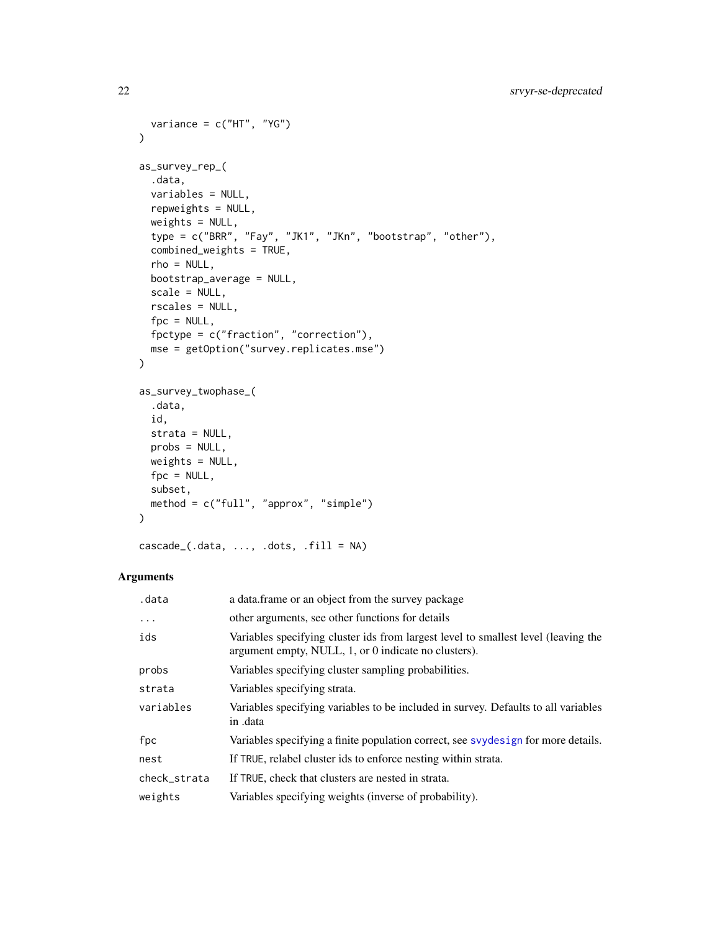```
variance = c("HT", "YG")\mathcal{L}as_survey_rep_(
  .data,
 variables = NULL,
 repweights = NULL,
 weights = NULL,
  type = c("BRR", "Fay", "JK1", "JKn", "bootstrap", "other"),
  combined_weights = TRUE,
  rho = NULL,
 bootstrap_average = NULL,
  scale = NULL,
 rscales = NULL,
 fpc = NULL,fpctype = c("fraction", "correction"),
 mse = getOption("survey.replicates.mse")
\mathcal{L}as_survey_twophase_(
  .data,
 id,
 strata = NULL,
 probs = NULL,
 weights = NULL,
 fpc = NULL,subset,
 method = c("full", "approx", "simple")
)
```

```
\text{cascade}\_\text{(.data, \ldots, .dots, .fit11 = NA)}
```
## Arguments

| .data        | a data frame or an object from the survey package                                                                                          |
|--------------|--------------------------------------------------------------------------------------------------------------------------------------------|
| $\ddots$     | other arguments, see other functions for details                                                                                           |
| ids          | Variables specifying cluster ids from largest level to smallest level (leaving the<br>argument empty, NULL, 1, or 0 indicate no clusters). |
| probs        | Variables specifying cluster sampling probabilities.                                                                                       |
| strata       | Variables specifying strata.                                                                                                               |
| variables    | Variables specifying variables to be included in survey. Defaults to all variables<br>in .data                                             |
| fpc          | Variables specifying a finite population correct, see svydesign for more details.                                                          |
| nest         | If TRUE, relabel cluster ids to enforce nesting within strata.                                                                             |
| check_strata | If TRUE, check that clusters are nested in strata.                                                                                         |
| weights      | Variables specifying weights (inverse of probability).                                                                                     |

<span id="page-21-0"></span>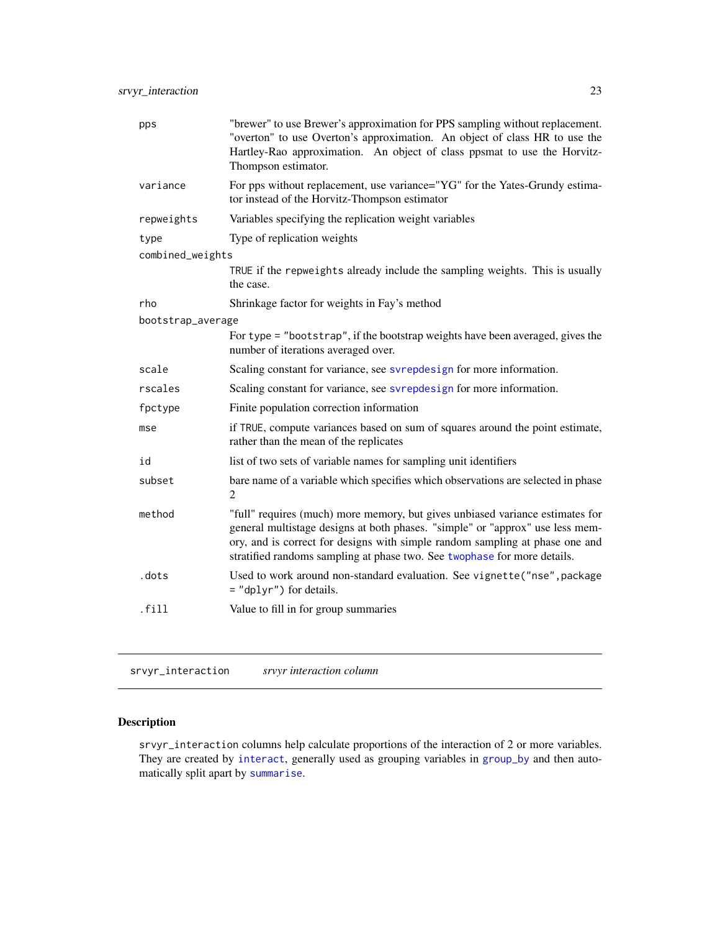<span id="page-22-0"></span>

| pps               | "brewer" to use Brewer's approximation for PPS sampling without replacement.<br>"overton" to use Overton's approximation. An object of class HR to use the<br>Hartley-Rao approximation. An object of class ppsmat to use the Horvitz-<br>Thompson estimator.                                                              |
|-------------------|----------------------------------------------------------------------------------------------------------------------------------------------------------------------------------------------------------------------------------------------------------------------------------------------------------------------------|
| variance          | For pps without replacement, use variance="YG" for the Yates-Grundy estima-<br>tor instead of the Horvitz-Thompson estimator                                                                                                                                                                                               |
| repweights        | Variables specifying the replication weight variables                                                                                                                                                                                                                                                                      |
| type              | Type of replication weights                                                                                                                                                                                                                                                                                                |
| combined_weights  |                                                                                                                                                                                                                                                                                                                            |
|                   | TRUE if the repweights already include the sampling weights. This is usually<br>the case.                                                                                                                                                                                                                                  |
| rho               | Shrinkage factor for weights in Fay's method                                                                                                                                                                                                                                                                               |
| bootstrap_average |                                                                                                                                                                                                                                                                                                                            |
|                   | For type = "bootstrap", if the bootstrap weights have been averaged, gives the<br>number of iterations averaged over.                                                                                                                                                                                                      |
| scale             | Scaling constant for variance, see svrepdesign for more information.                                                                                                                                                                                                                                                       |
| rscales           | Scaling constant for variance, see svrepdesign for more information.                                                                                                                                                                                                                                                       |
| fpctype           | Finite population correction information                                                                                                                                                                                                                                                                                   |
| mse               | if TRUE, compute variances based on sum of squares around the point estimate,<br>rather than the mean of the replicates                                                                                                                                                                                                    |
| id                | list of two sets of variable names for sampling unit identifiers                                                                                                                                                                                                                                                           |
| subset            | bare name of a variable which specifies which observations are selected in phase<br>$\overline{c}$                                                                                                                                                                                                                         |
| method            | "full" requires (much) more memory, but gives unbiased variance estimates for<br>general multistage designs at both phases. "simple" or "approx" use less mem-<br>ory, and is correct for designs with simple random sampling at phase one and<br>stratified randoms sampling at phase two. See twophase for more details. |
| .dots             | Used to work around non-standard evaluation. See vignette("nse", package<br>$=$ "dplyr") for details.                                                                                                                                                                                                                      |
| .fill             | Value to fill in for group summaries                                                                                                                                                                                                                                                                                       |
|                   |                                                                                                                                                                                                                                                                                                                            |

<span id="page-22-1"></span>srvyr\_interaction *srvyr interaction column*

## Description

srvyr\_interaction columns help calculate proportions of the interaction of 2 or more variables. They are created by [interact](#page-18-1), generally used as grouping variables in [group\\_by](#page-15-2) and then automatically split apart by [summarise](#page-23-1).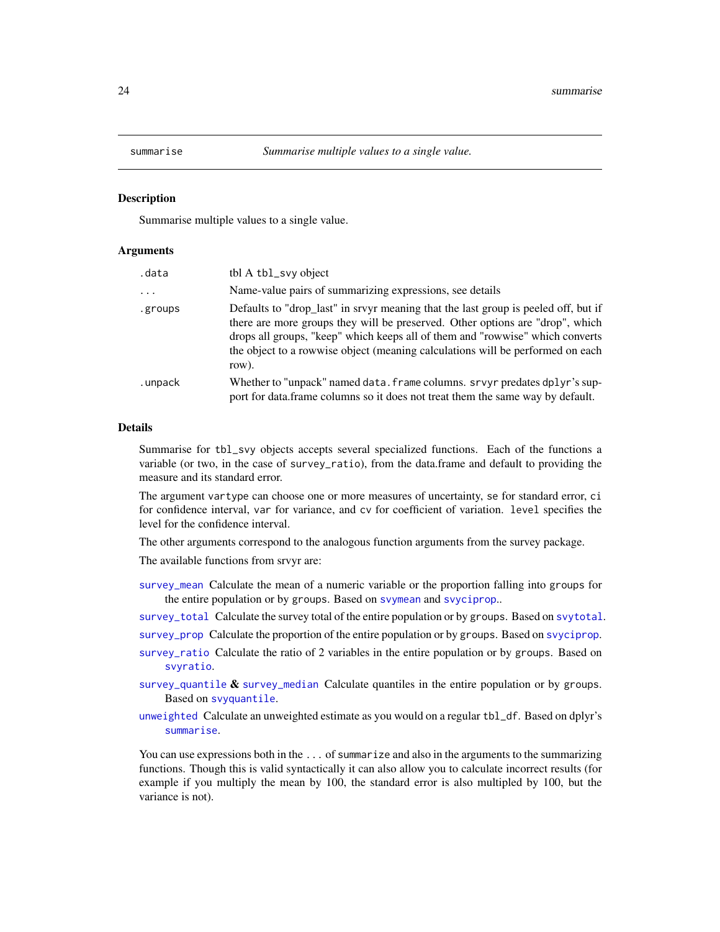<span id="page-23-1"></span><span id="page-23-0"></span>

Summarise multiple values to a single value.

#### Arguments

| tbl A tbl_svy object                                                                                                                                                                                                                                                                                                                            |
|-------------------------------------------------------------------------------------------------------------------------------------------------------------------------------------------------------------------------------------------------------------------------------------------------------------------------------------------------|
| Name-value pairs of summarizing expressions, see details                                                                                                                                                                                                                                                                                        |
| Defaults to "drop_last" in srvyr meaning that the last group is peeled off, but if<br>there are more groups they will be preserved. Other options are "drop", which<br>drops all groups, "keep" which keeps all of them and "rowwise" which converts<br>the object to a rowwise object (meaning calculations will be performed on each<br>row). |
| Whether to "unpack" named data. frame columns. srvyr predates dplyr's sup-<br>port for data.frame columns so it does not treat them the same way by default.                                                                                                                                                                                    |
|                                                                                                                                                                                                                                                                                                                                                 |

## Details

Summarise for tbl\_svy objects accepts several specialized functions. Each of the functions a variable (or two, in the case of survey\_ratio), from the data.frame and default to providing the measure and its standard error.

The argument vartype can choose one or more measures of uncertainty, se for standard error, ci for confidence interval, var for variance, and cv for coefficient of variation. level specifies the level for the confidence interval.

The other arguments correspond to the analogous function arguments from the survey package.

The available functions from srvyr are:

[survey\\_mean](#page-25-1) Calculate the mean of a numeric variable or the proportion falling into groups for the entire population or by groups. Based on [svymean](#page-0-0) and [svyciprop](#page-0-0)..

[survey\\_total](#page-33-1) Calculate the survey total of the entire population or by groups. Based on [svytotal](#page-0-0).

[survey\\_prop](#page-25-2) Calculate the proportion of the entire population or by groups. Based on [svyciprop](#page-0-0).

- [survey\\_ratio](#page-30-1) Calculate the ratio of 2 variables in the entire population or by groups. Based on [svyratio](#page-0-0).
- [survey\\_quantile](#page-29-1)  $\&$  [survey\\_median](#page-29-2) Calculate quantiles in the entire population or by groups. Based on [svyquantile](#page-0-0).
- [unweighted](#page-38-1) Calculate an unweighted estimate as you would on a regular tbl\_df. Based on dplyr's [summarise](#page-23-1).

You can use expressions both in the ... of summarize and also in the arguments to the summarizing functions. Though this is valid syntactically it can also allow you to calculate incorrect results (for example if you multiply the mean by 100, the standard error is also multipled by 100, but the variance is not).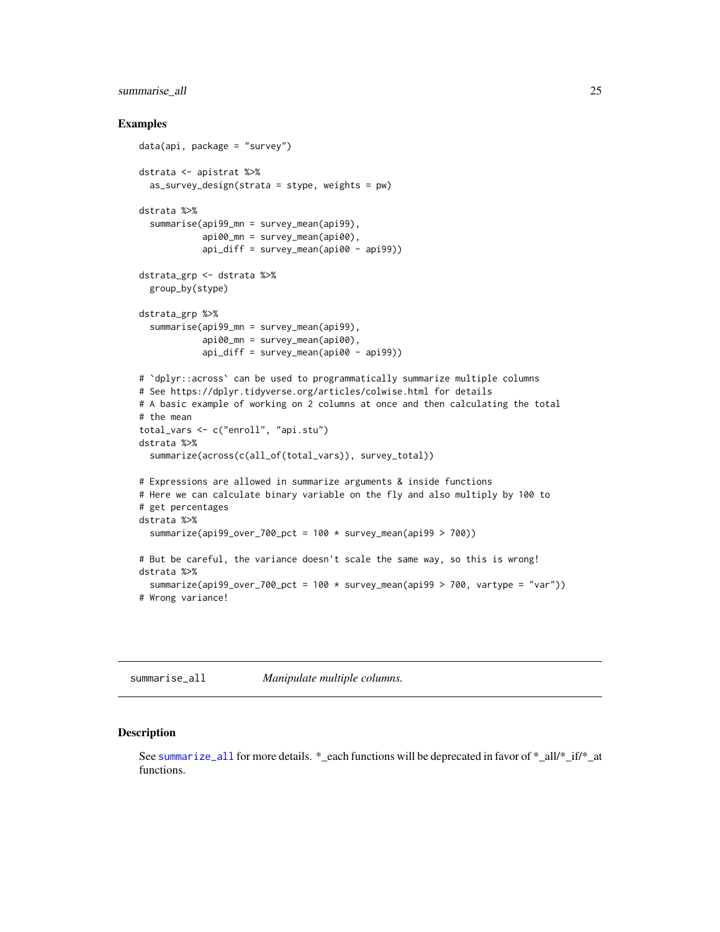## <span id="page-24-0"></span>summarise\_all 25

#### Examples

```
data(api, package = "survey")
dstrata <- apistrat %>%
  as_survey_design(strata = stype, weights = pw)
dstrata %>%
  summarise(api99_mn = survey_mean(api99),
            api00_mn = survey_mean(api00),
            api_diff = survey_mean(api00 - api99))
dstrata_grp <- dstrata %>%
  group_by(stype)
dstrata_grp %>%
  summarise(api99_mn = survey_mean(api99),
            api00_mn = survey_mean(api00),
            api_diff = survey_mean(api00 - api99))
# `dplyr::across` can be used to programmatically summarize multiple columns
# See https://dplyr.tidyverse.org/articles/colwise.html for details
# A basic example of working on 2 columns at once and then calculating the total
# the mean
total_vars <- c("enroll", "api.stu")
dstrata %>%
  summarize(across(c(all_of(total_vars)), survey_total))
# Expressions are allowed in summarize arguments & inside functions
# Here we can calculate binary variable on the fly and also multiply by 100 to
# get percentages
dstrata %>%
  summarize(api99_over_700_pct = 100 * survey_mean(api99 > 700))
# But be careful, the variance doesn't scale the same way, so this is wrong!
dstrata %>%
  summarize(api99_over_700_pct = 100 * survey_mean(api99 > 700, vartype = "var"))
# Wrong variance!
```
summarise\_all *Manipulate multiple columns.*

#### <span id="page-24-1"></span>Description

See [summarize\\_all](#page-24-1) for more details. \*\_each functions will be deprecated in favor of \*\_all/\*\_if/\*\_at functions.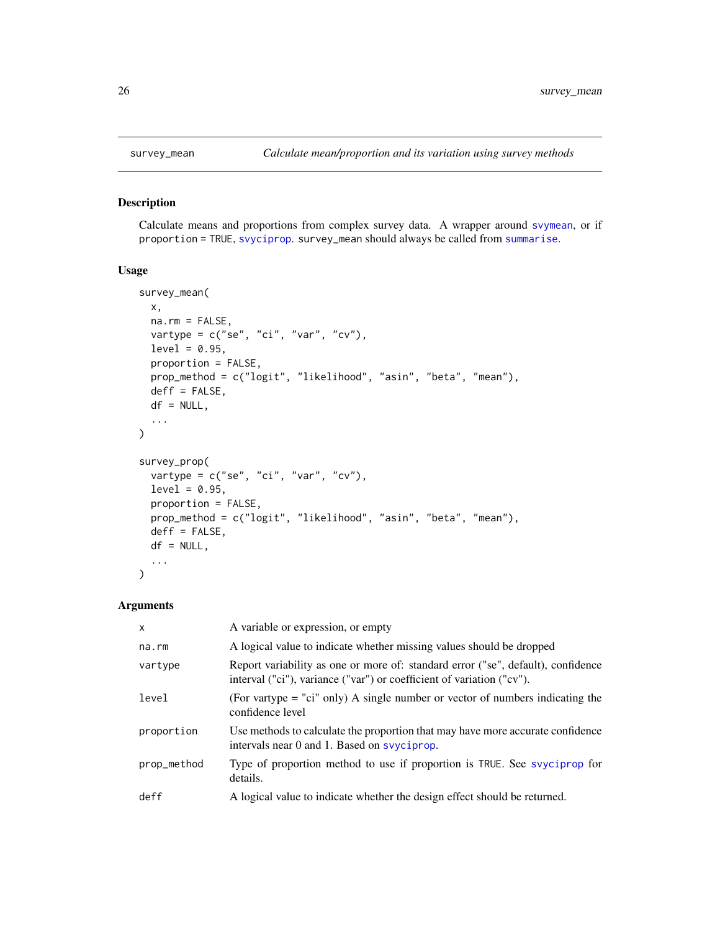<span id="page-25-2"></span><span id="page-25-1"></span><span id="page-25-0"></span>

Calculate means and proportions from complex survey data. A wrapper around [svymean](#page-0-0), or if proportion = TRUE, [svyciprop](#page-0-0). survey\_mean should always be called from [summarise](#page-23-1).

## Usage

```
survey_mean(
 x,
 na.rm = FALSE,vartype = c("se", "ci", "var", "cv"),
 level = 0.95,proportion = FALSE,
 prop_method = c("logit", "likelihood", "asin", "beta", "mean"),
 deff = FALSE,
 df = NULL,...
\mathcal{E}survey_prop(
 vartype = c("se", "ci", "var", "cv"),
 level = 0.95,proportion = FALSE,
 prop_method = c("logit", "likelihood", "asin", "beta", "mean"),
 deff = FALSE,
 df = NULL,...
)
```
#### Arguments

| $\mathsf{x}$ | A variable or expression, or empty                                                                                                                        |
|--------------|-----------------------------------------------------------------------------------------------------------------------------------------------------------|
| na.rm        | A logical value to indicate whether missing values should be dropped                                                                                      |
| vartype      | Report variability as one or more of: standard error ("se", default), confidence<br>interval ("ci"), variance ("var") or coefficient of variation ("cv"). |
| level        | (For vartype $=$ "ci" only) A single number or vector of numbers indicating the<br>confidence level                                                       |
| proportion   | Use methods to calculate the proportion that may have more accurate confidence<br>intervals near 0 and 1. Based on systeps op.                            |
| prop_method  | Type of proportion method to use if proportion is TRUE. See svyciprop for<br>details.                                                                     |
| deff         | A logical value to indicate whether the design effect should be returned.                                                                                 |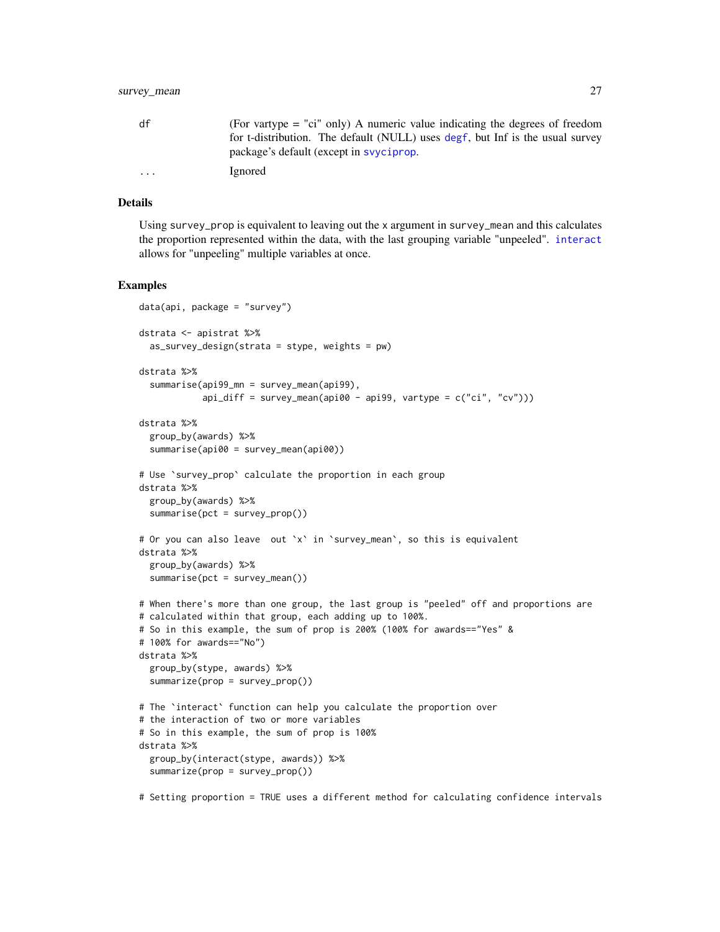<span id="page-26-0"></span>

| df      | (For vartype $=$ "ci" only) A numeric value indicating the degrees of freedom |
|---------|-------------------------------------------------------------------------------|
|         | for t-distribution. The default (NULL) uses degf, but Inf is the usual survey |
|         | package's default (except in system op.                                       |
| $\cdot$ | Ignored                                                                       |

## Details

Using survey\_prop is equivalent to leaving out the x argument in survey\_mean and this calculates the proportion represented within the data, with the last grouping variable "unpeeled". [interact](#page-18-1) allows for "unpeeling" multiple variables at once.

#### Examples

```
data(api, package = "survey")dstrata <- apistrat %>%
  as_survey_design(strata = stype, weights = pw)
dstrata %>%
  summarise(api99_mn = survey_mean(api99),
            api\_diff = survey\_mean(api00 - api99, vartype = c("ci", "cv"))dstrata %>%
  group_by(awards) %>%
  summarise(api00 = survey_mean(api00))
# Use `survey_prop` calculate the proportion in each group
dstrata %>%
  group_by(awards) %>%
  summarise(pct = survey_prop())
# Or you can also leave out `x` in `survey_mean`, so this is equivalent
dstrata %>%
  group_by(awards) %>%
  summarise(pct = survey_mean())# When there's more than one group, the last group is "peeled" off and proportions are
# calculated within that group, each adding up to 100%.
# So in this example, the sum of prop is 200% (100% for awards=="Yes" &
# 100% for awards=="No")
dstrata %>%
  group_by(stype, awards) %>%
  summarize(prop = survey_prop())
# The `interact` function can help you calculate the proportion over
# the interaction of two or more variables
# So in this example, the sum of prop is 100%
dstrata %>%
  group_by(interact(stype, awards)) %>%
  summarize(prop = survey_prop())
```
# Setting proportion = TRUE uses a different method for calculating confidence intervals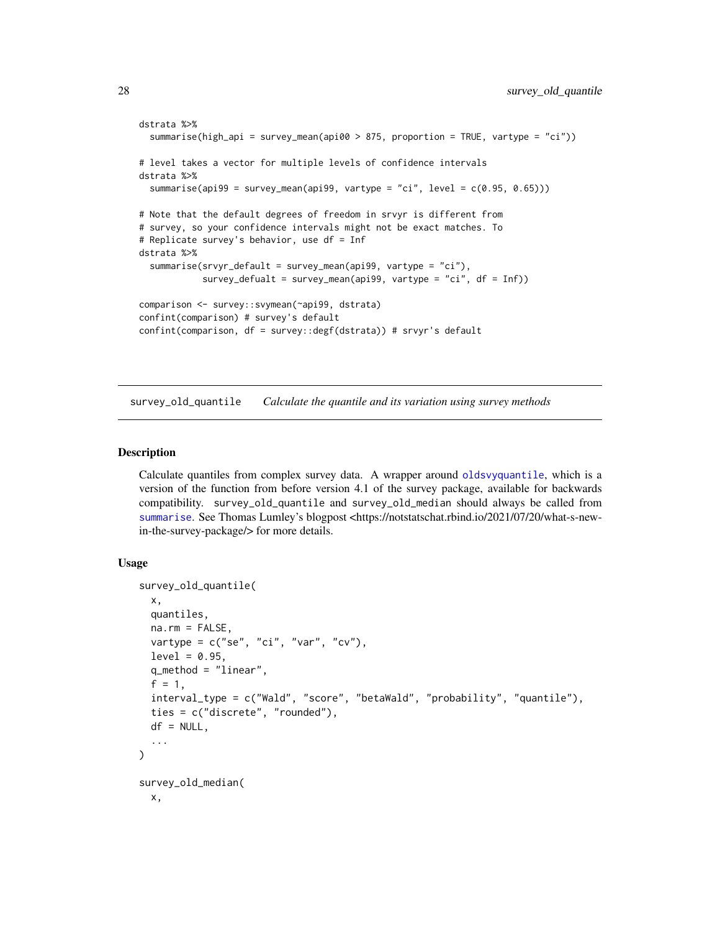```
dstrata %>%
 summarise(high_api = survey_mean(api00 > 875, proportion = TRUE, vartype = "ci"))
# level takes a vector for multiple levels of confidence intervals
dstrata %>%
 summarise(api99 = survey_mean(api99, vartype = "ci", level = c(0.95, 0.65)))
# Note that the default degrees of freedom in srvyr is different from
# survey, so your confidence intervals might not be exact matches. To
# Replicate survey's behavior, use df = Inf
dstrata %>%
 summarise(srvyr_default = survey_mean(api99, vartype = "ci"),
            survey_defualt = survey_mean(api99, vartype = "ci", df = Inf))
comparison <- survey::svymean(~api99, dstrata)
confint(comparison) # survey's default
confint(comparison, df = survey::degf(dstrata)) # srvyr's default
```
<span id="page-27-1"></span>survey\_old\_quantile *Calculate the quantile and its variation using survey methods*

### **Description**

Calculate quantiles from complex survey data. A wrapper around [oldsvyquantile](#page-0-0), which is a version of the function from before version 4.1 of the survey package, available for backwards compatibility. survey\_old\_quantile and survey\_old\_median should always be called from [summarise](#page-23-1). See Thomas Lumley's blogpost <https://notstatschat.rbind.io/2021/07/20/what-s-newin-the-survey-package/> for more details.

## Usage

```
survey_old_quantile(
  x,
  quantiles,
  na.rm = FALSE,vartype = c("se", "ci", "var", "cv"),
  level = 0.95,q_method = "linear",
  f = 1,
  interval_type = c("Wald", "score", "betaWald", "probability", "quantile"),
  ties = c("discrete", "rounded"),
  df = NULL,
  ...
)
survey_old_median(
  x,
```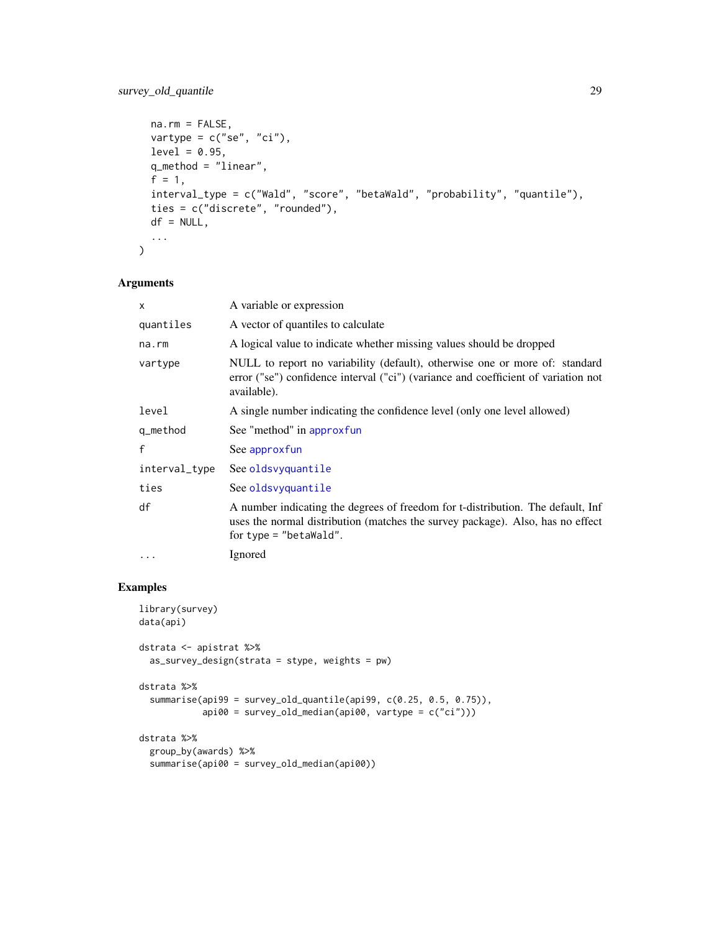```
na.rm = FALSE,
vartype = c("se", "ci"),
level = 0.95,q_method = "linear",
f = 1,
interval_type = c("Wald", "score", "betaWald", "probability", "quantile"),
ties = c("discrete", "rounded"),
df = NULL,...
```
## Arguments

)

| $\times$      | A variable or expression                                                                                                                                                                    |
|---------------|---------------------------------------------------------------------------------------------------------------------------------------------------------------------------------------------|
| quantiles     | A vector of quantiles to calculate                                                                                                                                                          |
| na.rm         | A logical value to indicate whether missing values should be dropped                                                                                                                        |
| vartype       | NULL to report no variability (default), otherwise one or more of: standard<br>error ("se") confidence interval ("ci") (variance and coefficient of variation not<br>available).            |
| level         | A single number indicating the confidence level (only one level allowed)                                                                                                                    |
| q_method      | See "method" in approxfun                                                                                                                                                                   |
| f             | See approxfun                                                                                                                                                                               |
| interval_type | See oldsvyquantile                                                                                                                                                                          |
| ties          | See oldsvyquantile                                                                                                                                                                          |
| df            | A number indicating the degrees of freedom for t-distribution. The default, Inf<br>uses the normal distribution (matches the survey package). Also, has no effect<br>for type = "betaWald". |
| $\cdots$      | Ignored                                                                                                                                                                                     |

```
library(survey)
data(api)
dstrata <- apistrat %>%
  as_survey_design(strata = stype, weights = pw)
dstrata %>%
  summarise(api99 = survey_old_quantile(api99, c(0.25, 0.5, 0.75)),
            api00 = survey_old_median(api00, vartype = c("ci")))
dstrata %>%
  group_by(awards) %>%
  summarise(api00 = survey_old_median(api00))
```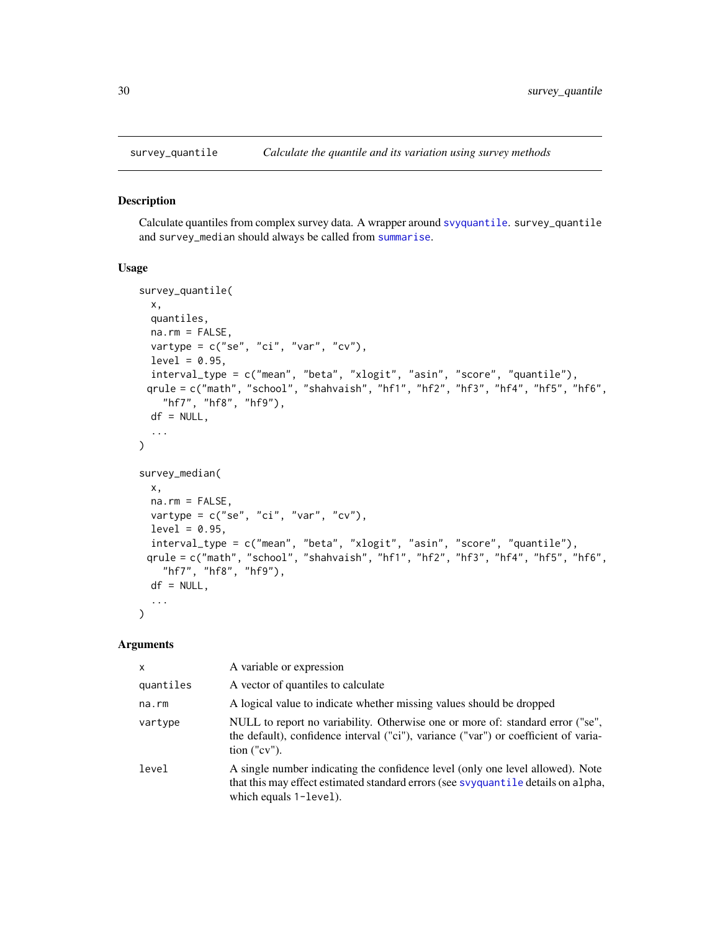<span id="page-29-2"></span><span id="page-29-1"></span><span id="page-29-0"></span>

Calculate quantiles from complex survey data. A wrapper around [svyquantile](#page-0-0). survey\_quantile and survey\_median should always be called from [summarise](#page-23-1).

#### Usage

```
survey_quantile(
 x,
 quantiles,
 na.rm = FALSE,
 vartype = c("se", "ci", "var", "cv"),
 level = 0.95,interval_type = c("mean", "beta", "xlogit", "asin", "score", "quantile"),
 qrule = c("math", "school", "shahvaish", "hf1", "hf2", "hf3", "hf4", "hf5", "hf6",
    "hf7", "hf8", "hf9"),
 df = NULL,...
\lambdasurvey_median(
 x,
 na.rm = FALSE,vartype = c("se", "ci", "var", "cv"),
 level = 0.95,interval_type = c("mean", "beta", "xlogit", "asin", "score", "quantile"),
 qrule = c("math", "school", "shahvaish", "hf1", "hf2", "hf3", "hf4", "hf5", "hf6",
   "hf7", "hf8", "hf9"),
 df = NULL,...
)
```
#### Arguments

| $\mathsf{x}$ | A variable or expression                                                                                                                                                                      |
|--------------|-----------------------------------------------------------------------------------------------------------------------------------------------------------------------------------------------|
| quantiles    | A vector of quantiles to calculate                                                                                                                                                            |
| na.rm        | A logical value to indicate whether missing values should be dropped                                                                                                                          |
| vartype      | NULL to report no variability. Otherwise one or more of: standard error ("se",<br>the default), confidence interval ("ci"), variance ("var") or coefficient of varia-<br>$\chi$ ("cv").       |
| level        | A single number indicating the confidence level (only one level allowed). Note<br>that this may effect estimated standard errors (see syyquantile details on alpha,<br>which equals 1-level). |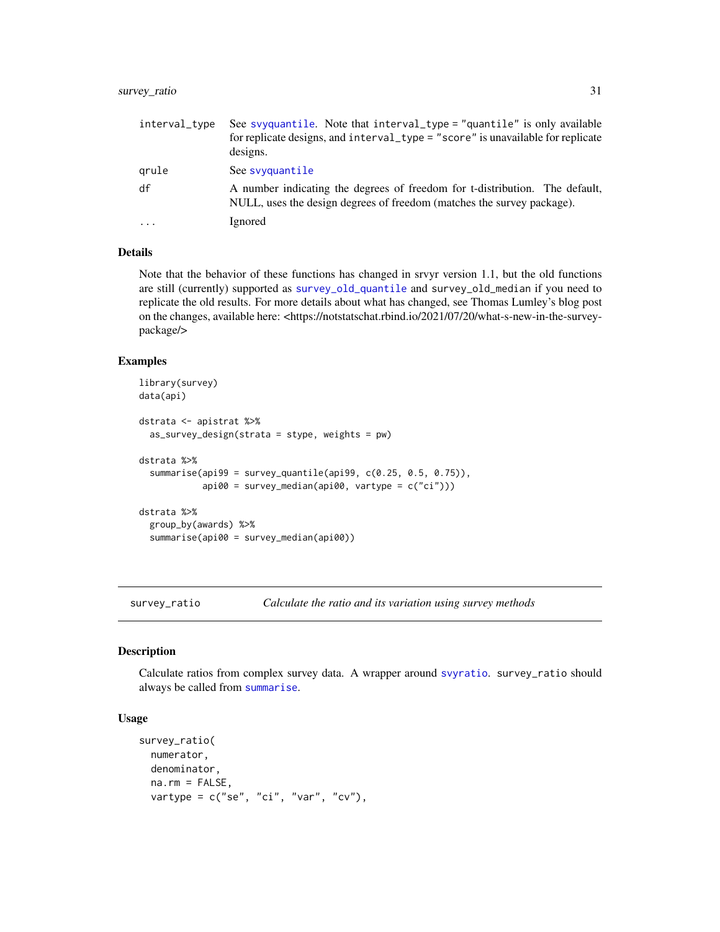## <span id="page-30-0"></span>survey\_ratio 31

| interval_type | See svyquantile. Note that interval_type = "quantile" is only available<br>for replicate designs, and interval_type = "score" is unavailable for replicate<br>designs. |
|---------------|------------------------------------------------------------------------------------------------------------------------------------------------------------------------|
| grule         | See syyquantile                                                                                                                                                        |
| df            | A number indicating the degrees of freedom for t-distribution. The default,<br>NULL, uses the design degrees of freedom (matches the survey package).                  |
| $\cdot$       | Ignored                                                                                                                                                                |

## Details

Note that the behavior of these functions has changed in srvyr version 1.1, but the old functions are still (currently) supported as [survey\\_old\\_quantile](#page-27-1) and survey\_old\_median if you need to replicate the old results. For more details about what has changed, see Thomas Lumley's blog post on the changes, available here: <https://notstatschat.rbind.io/2021/07/20/what-s-new-in-the-surveypackage/>

## Examples

```
library(survey)
data(api)
dstrata <- apistrat %>%
 as_survey_design(strata = stype, weights = pw)
dstrata %>%
 summarise(api99 = survey_quantile(api99, c(0.25, 0.5, 0.75)),
            api00 = survey_median(api00, vartype = c("ci")))
dstrata %>%
 group_by(awards) %>%
 summarise(api00 = survey_median(api00))
```
<span id="page-30-1"></span>survey\_ratio *Calculate the ratio and its variation using survey methods*

#### Description

Calculate ratios from complex survey data. A wrapper around [svyratio](#page-0-0). survey\_ratio should always be called from [summarise](#page-23-1).

## Usage

```
survey_ratio(
 numerator,
 denominator,
  na.rm = FALSE,
  vartype = c("se", "ci", "var", "cv"),
```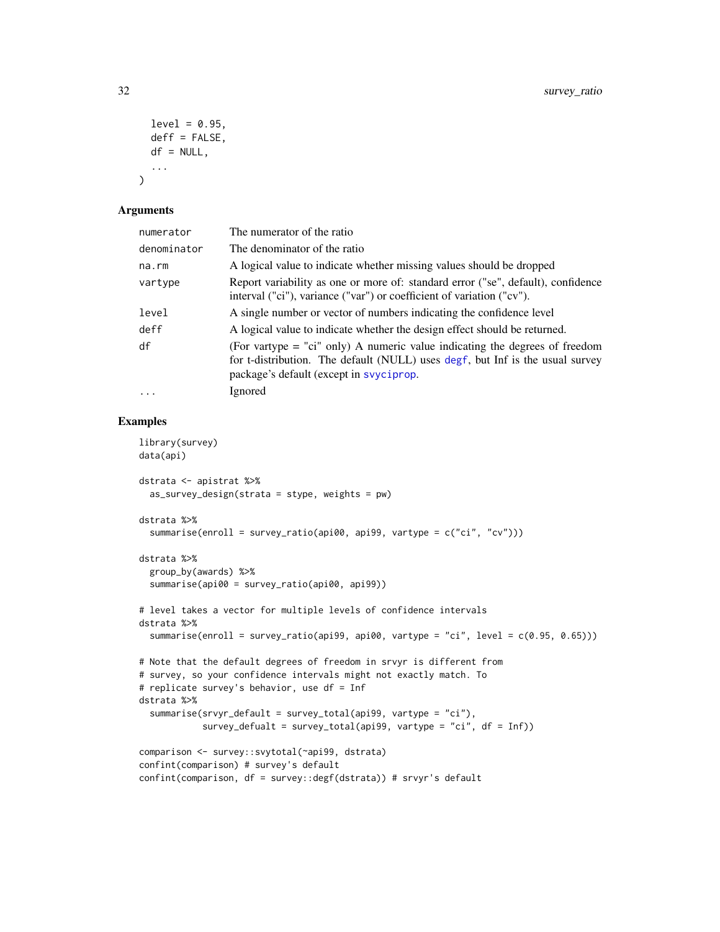```
level = 0.95,
deff = FALSE,
df = NULL,
...
```
#### Arguments

 $\mathcal{L}$ 

| numerator   | The numerator of the ratio                                                                                                                                                                                |
|-------------|-----------------------------------------------------------------------------------------------------------------------------------------------------------------------------------------------------------|
| denominator | The denominator of the ratio                                                                                                                                                                              |
| na.rm       | A logical value to indicate whether missing values should be dropped                                                                                                                                      |
| vartype     | Report variability as one or more of: standard error ("se", default), confidence<br>interval ("ci"), variance ("var") or coefficient of variation ("cv").                                                 |
| level       | A single number or vector of numbers indicating the confidence level                                                                                                                                      |
| deff        | A logical value to indicate whether the design effect should be returned.                                                                                                                                 |
| df          | (For vartype $=$ "ci" only) A numeric value indicating the degrees of freedom<br>for t-distribution. The default (NULL) uses degf, but Inf is the usual survey<br>package's default (except in svyciprop. |
| $\ddotsc$   | Ignored                                                                                                                                                                                                   |

```
library(survey)
data(api)
dstrata <- apistrat %>%
  as_survey_design(strata = stype, weights = pw)
dstrata %>%
  summarise(enroll = survey_ratio(api00, api99, vartype = c("ci", "cv")))
dstrata %>%
  group_by(awards) %>%
  summarise(api00 = survey_ratio(api00, api99))
# level takes a vector for multiple levels of confidence intervals
dstrata %>%
 summarise(enroll = survey_ratio(api99, api00, vartype = "ci", level = c(0.95, 0.65)))
# Note that the default degrees of freedom in srvyr is different from
# survey, so your confidence intervals might not exactly match. To
# replicate survey's behavior, use df = Inf
dstrata %>%
  summarise(srvyr_default = survey_total(api99, vartype = "ci"),
            survey_defualt = survey_total(api99, vartype = "ci", df = Inf))
comparison <- survey::svytotal(~api99, dstrata)
confint(comparison) # survey's default
confint(comparison, df = survey::degf(dstrata)) # srvyr's default
```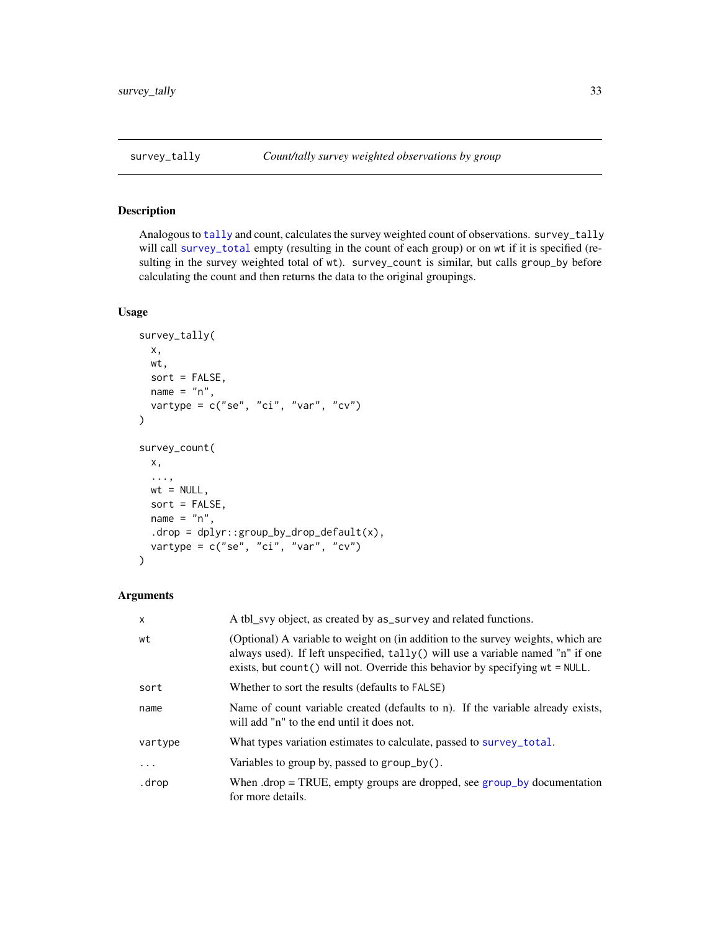<span id="page-32-0"></span>Analogous to [tally](#page-0-0) and count, calculates the survey weighted count of observations. survey\_tally will call [survey\\_total](#page-33-1) empty (resulting in the count of each group) or on wt if it is specified (resulting in the survey weighted total of wt). survey\_count is similar, but calls group\_by before calculating the count and then returns the data to the original groupings.

## Usage

```
survey_tally(
 x,
 wt,
 sort = FALSE,
 name = "n",vartype = c("se", "ci", "var", "cv")
)
survey_count(
 x,
 ...,
 wt = NULL,sort = FALSE,
 name = "n",drop = dplyr::group_by_drop_default(x),vartype = c("se", "ci", "var", "cv"))
```
## Arguments

| $\mathsf{x}$ | A tbl_svy object, as created by as_survey and related functions.                                                                                                                                                                                           |
|--------------|------------------------------------------------------------------------------------------------------------------------------------------------------------------------------------------------------------------------------------------------------------|
| wt           | (Optional) A variable to weight on (in addition to the survey weights, which are<br>always used). If left unspecified, $tally()$ will use a variable named "n" if one<br>exists, but count () will not. Override this behavior by specifying $wt = NULL$ . |
| sort         | Whether to sort the results (defaults to FALSE)                                                                                                                                                                                                            |
| name         | Name of count variable created (defaults to n). If the variable already exists,<br>will add "n" to the end until it does not.                                                                                                                              |
| vartype      | What types variation estimates to calculate, passed to survey_total.                                                                                                                                                                                       |
| .            | Variables to group by, passed to group_by().                                                                                                                                                                                                               |
| .drop        | When $drop = TRUE$ , empty groups are dropped, see group_by documentation<br>for more details.                                                                                                                                                             |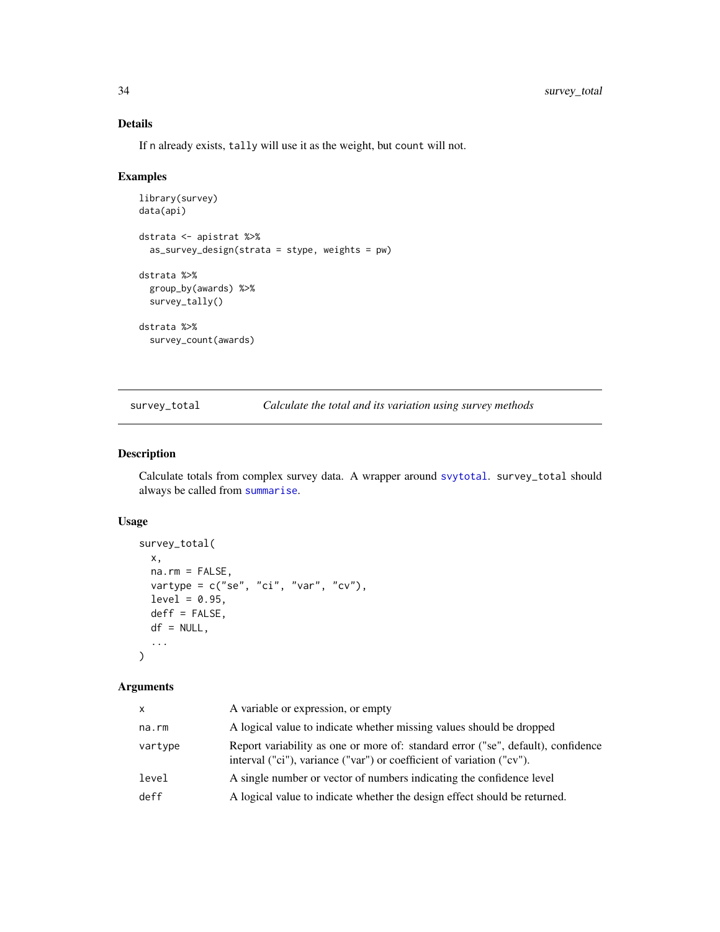## Details

If n already exists, tally will use it as the weight, but count will not.

### Examples

```
library(survey)
data(api)
dstrata <- apistrat %>%
  as_survey_design(strata = stype, weights = pw)
dstrata %>%
 group_by(awards) %>%
  survey_tally()
dstrata %>%
  survey_count(awards)
```
<span id="page-33-1"></span>survey\_total *Calculate the total and its variation using survey methods*

## Description

Calculate totals from complex survey data. A wrapper around [svytotal](#page-0-0). survey\_total should always be called from [summarise](#page-23-1).

## Usage

```
survey_total(
 x,
 na.rm = FALSE,vartype = c("se", "ci", "var", "cv"),
 level = 0.95,deff = FALSE,df = NULL,...
\mathcal{L}
```
## Arguments

| $\mathsf{x}$ | A variable or expression, or empty                                                                                                                        |
|--------------|-----------------------------------------------------------------------------------------------------------------------------------------------------------|
| na.rm        | A logical value to indicate whether missing values should be dropped                                                                                      |
| vartype      | Report variability as one or more of: standard error ("se", default), confidence<br>interval ("ci"), variance ("var") or coefficient of variation ("cv"). |
| level        | A single number or vector of numbers indicating the confidence level                                                                                      |
| deff         | A logical value to indicate whether the design effect should be returned.                                                                                 |

<span id="page-33-0"></span>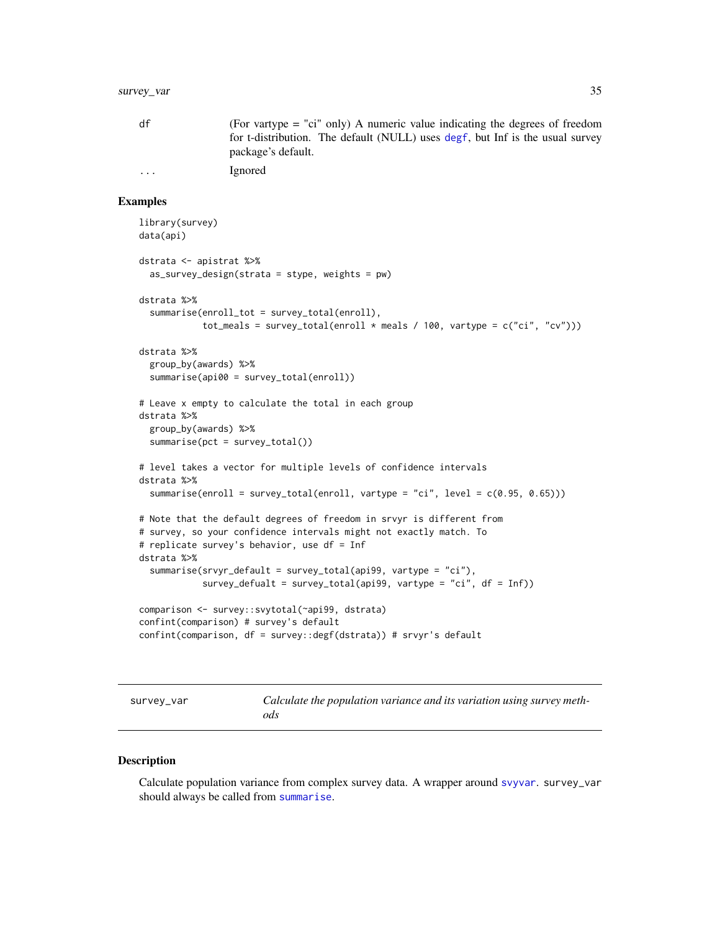## <span id="page-34-0"></span>survey\_var 35

| df      | (For vartype $=$ "ci" only) A numeric value indicating the degrees of freedom<br>for t-distribution. The default (NULL) uses degf, but Inf is the usual survey |
|---------|----------------------------------------------------------------------------------------------------------------------------------------------------------------|
|         | package's default.                                                                                                                                             |
| $\cdot$ | Ignored                                                                                                                                                        |

### Examples

```
library(survey)
data(api)
dstrata <- apistrat %>%
 as_survey_design(strata = stype, weights = pw)
dstrata %>%
 summarise(enroll_tot = survey_total(enroll),
            tot_meals = survey_total(enroll * meals / 100, vartype = c("ci", "cv")))
dstrata %>%
 group_by(awards) %>%
 summarise(api00 = survey_total(enroll))
# Leave x empty to calculate the total in each group
dstrata %>%
 group_by(awards) %>%
 summarise(pct = survey\_total())# level takes a vector for multiple levels of confidence intervals
dstrata %>%
 summarise(enroll = survey_total(enroll, vartype = "ci", level = c(0.95, 0.65)))
# Note that the default degrees of freedom in srvyr is different from
# survey, so your confidence intervals might not exactly match. To
# replicate survey's behavior, use df = Inf
dstrata %>%
 summarise(srvyr_default = survey_total(api99, vartype = "ci"),
            survey_defualt = survey_total(api99, vartype = "ci", df = Inf))
comparison <- survey::svytotal(~api99, dstrata)
confint(comparison) # survey's default
confint(comparison, df = survey::degf(dstrata)) # srvyr's default
```
survey\_var *Calculate the population variance and its variation using survey methods*

#### Description

Calculate population variance from complex survey data. A wrapper around [svyvar](#page-0-0). survey\_var should always be called from [summarise](#page-23-1).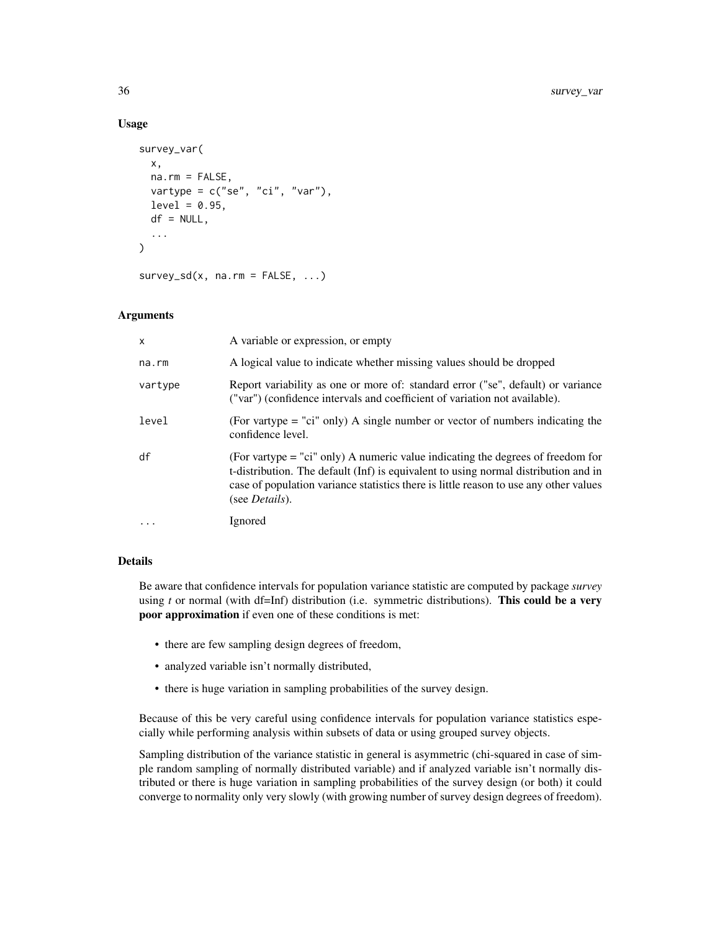## Usage

```
survey_var(
  x,
 na.rm = FALSE,vartype = c("se", "ci", "var"),
  level = 0.95,df = NULL,...
\mathcal{L}
```
 $survey_s d(x, na.rm = FALSE, ...)$ 

## Arguments

| $\mathsf{x}$ | A variable or expression, or empty                                                                                                                                                                                                                                                        |
|--------------|-------------------------------------------------------------------------------------------------------------------------------------------------------------------------------------------------------------------------------------------------------------------------------------------|
| na.rm        | A logical value to indicate whether missing values should be dropped                                                                                                                                                                                                                      |
| vartype      | Report variability as one or more of: standard error ("se", default) or variance<br>("var") (confidence intervals and coefficient of variation not available).                                                                                                                            |
| level        | (For vartype $=$ "ci" only) A single number or vector of numbers indicating the<br>confidence level.                                                                                                                                                                                      |
| df           | (For vartype = "ci" only) A numeric value indicating the degrees of freedom for<br>t-distribution. The default (Inf) is equivalent to using normal distribution and in<br>case of population variance statistics there is little reason to use any other values<br>(see <i>Details</i> ). |
| $\cdots$     | Ignored                                                                                                                                                                                                                                                                                   |

#### Details

Be aware that confidence intervals for population variance statistic are computed by package *survey* using *t* or normal (with df=Inf) distribution (i.e. symmetric distributions). This could be a very poor approximation if even one of these conditions is met:

- there are few sampling design degrees of freedom,
- analyzed variable isn't normally distributed,
- there is huge variation in sampling probabilities of the survey design.

Because of this be very careful using confidence intervals for population variance statistics especially while performing analysis within subsets of data or using grouped survey objects.

Sampling distribution of the variance statistic in general is asymmetric (chi-squared in case of simple random sampling of normally distributed variable) and if analyzed variable isn't normally distributed or there is huge variation in sampling probabilities of the survey design (or both) it could converge to normality only very slowly (with growing number of survey design degrees of freedom).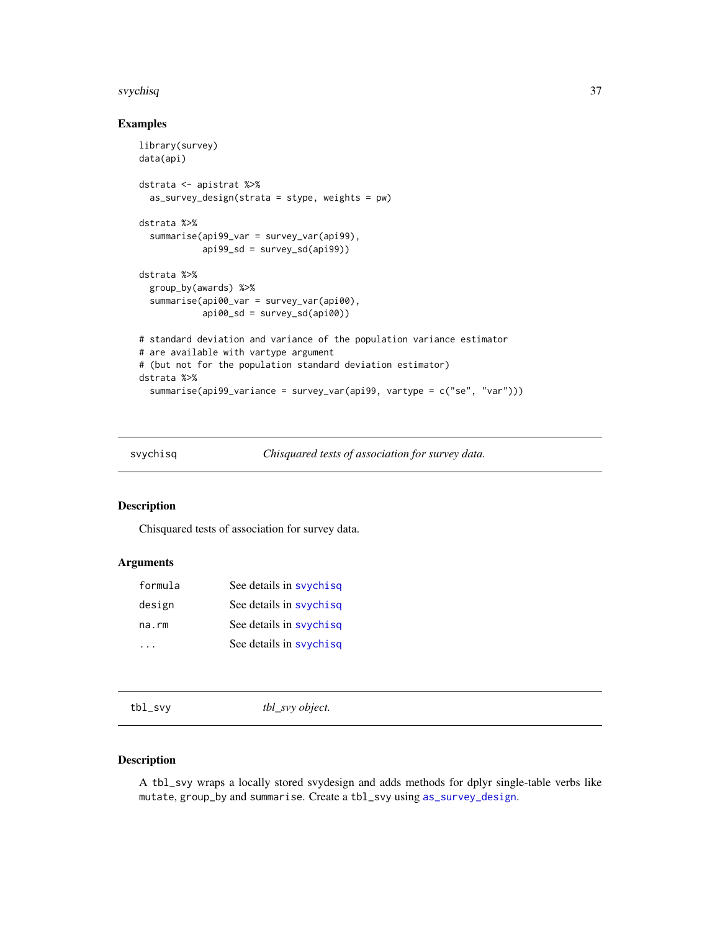#### <span id="page-36-0"></span>svychisq 37

## Examples

```
library(survey)
data(api)
dstrata <- apistrat %>%
  as_survey_design(strata = stype, weights = pw)
dstrata %>%
  summarise(api99_var = survey_var(api99),
            api99_sd = survey_s d(api99)dstrata %>%
  group_by(awards) %>%
  summarise(api00_var = survey_var(api00),
            api00_sd = survey_sd(api00))
# standard deviation and variance of the population variance estimator
# are available with vartype argument
# (but not for the population standard deviation estimator)
dstrata %>%
  summarise(api99_variance = survey_var(api99, vartype = c("se", "var")))
```
<span id="page-36-2"></span>svychisq *Chisquared tests of association for survey data.*

## Description

Chisquared tests of association for survey data.

## Arguments

| formula | See details in syychisq |
|---------|-------------------------|
| design  | See details in syychisq |
| na.rm   | See details in syychisq |
|         | See details in syychisq |

<span id="page-36-1"></span>

| tbl_svy object.<br>tbl_svy |  |  |  |
|----------------------------|--|--|--|
|----------------------------|--|--|--|

## Description

A tbl\_svy wraps a locally stored svydesign and adds methods for dplyr single-table verbs like mutate, group\_by and summarise. Create a tbl\_svy using [as\\_survey\\_design](#page-3-1).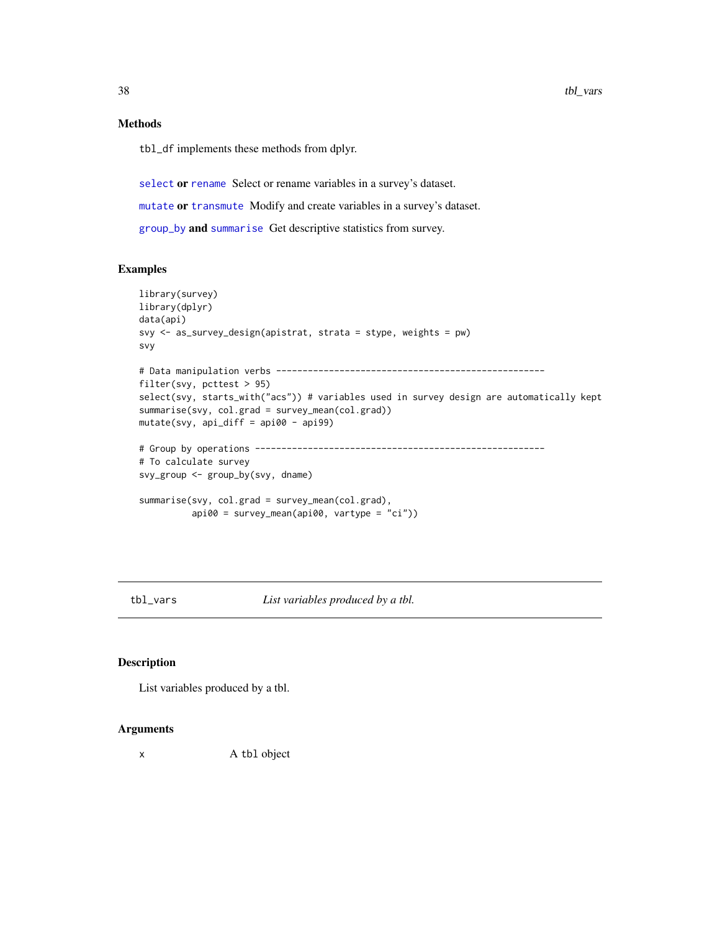## Methods

tbl\_df implements these methods from dplyr.

[select](#page-17-1) or [rename](#page-17-1) Select or rename variables in a survey's dataset.

[mutate](#page-17-1) or [transmute](#page-17-1) Modify and create variables in a survey's dataset.

[group\\_by](#page-15-2) and [summarise](#page-23-1) Get descriptive statistics from survey.

## Examples

```
library(survey)
library(dplyr)
data(api)
svy <- as_survey_design(apistrat, strata = stype, weights = pw)
svy
# Data manipulation verbs ---------------------------------------------------
filter(svy, pcttest > 95)
select(svy, starts_with("acs")) # variables used in survey design are automatically kept
summarise(svy, col.grad = survey_mean(col.grad))
mutate(svy, api_diff = api00 - api99)
# Group by operations -------------------------------------------------------
# To calculate survey
svy_group <- group_by(svy, dname)
summarise(svy, col.grad = survey_mean(col.grad),
          api00 = survey_mean(api00, vartype = "ci"))
```
tbl\_vars *List variables produced by a tbl.*

## Description

List variables produced by a tbl.

#### Arguments

x A tbl object

<span id="page-37-0"></span>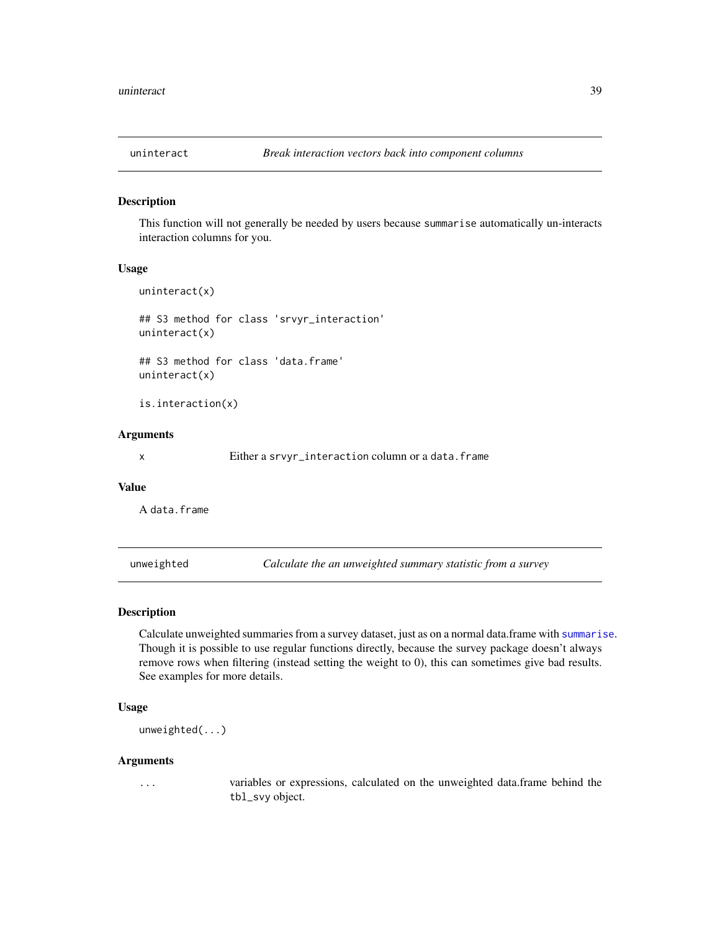<span id="page-38-0"></span>

This function will not generally be needed by users because summarise automatically un-interacts interaction columns for you.

#### Usage

```
uninteract(x)
```
## S3 method for class 'srvyr\_interaction' uninteract(x)

## S3 method for class 'data.frame' uninteract(x)

is.interaction(x)

#### Arguments

x Either a srvyr\_interaction column or a data.frame

#### Value

A data.frame

<span id="page-38-1"></span>unweighted *Calculate the an unweighted summary statistic from a survey*

#### Description

Calculate unweighted summaries from a survey dataset, just as on a normal data.frame with [summarise](#page-23-1). Though it is possible to use regular functions directly, because the survey package doesn't always remove rows when filtering (instead setting the weight to 0), this can sometimes give bad results. See examples for more details.

#### Usage

unweighted(...)

#### Arguments

... variables or expressions, calculated on the unweighted data.frame behind the tbl\_svy object.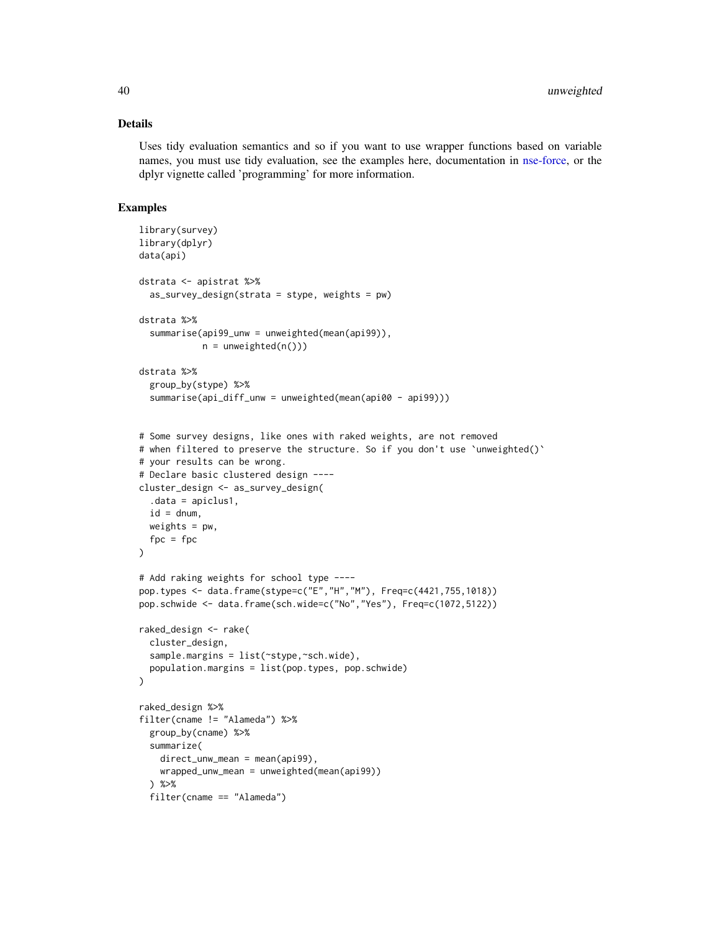## Details

Uses tidy evaluation semantics and so if you want to use wrapper functions based on variable names, you must use tidy evaluation, see the examples here, documentation in [nse-force,](#page-0-0) or the dplyr vignette called 'programming' for more information.

```
library(survey)
library(dplyr)
data(api)
dstrata <- apistrat %>%
  as_survey_design(strata = stype, weights = pw)
dstrata %>%
  summarise(api99_unw = unweighted(mean(api99)),
            n = unweighted(n()))
dstrata %>%
  group_by(stype) %>%
  summarise(api_diff_unw = unweighted(mean(api00 - api99)))
# Some survey designs, like ones with raked weights, are not removed
# when filtered to preserve the structure. So if you don't use `unweighted()`
# your results can be wrong.
# Declare basic clustered design ----
cluster_design <- as_survey_design(
  .data = apiclus1,
  id = dnum,
 weights = pw,
  fpc = fpc)
# Add raking weights for school type ----
pop.types <- data.frame(stype=c("E","H","M"), Freq=c(4421,755,1018))
pop.schwide <- data.frame(sch.wide=c("No","Yes"), Freq=c(1072,5122))
raked_design <- rake(
  cluster_design,
  sample.margins = list(~stype,~sch.wide),
  population.margins = list(pop.types, pop.schwide)
)
raked_design %>%
filter(cname != "Alameda") %>%
  group_by(cname) %>%
  summarize(
   direct_unw_mean = mean(api99),
   wrapped_unw_mean = unweighted(mean(api99))
  ) %>%
  filter(cname == "Alameda")
```
<span id="page-39-0"></span>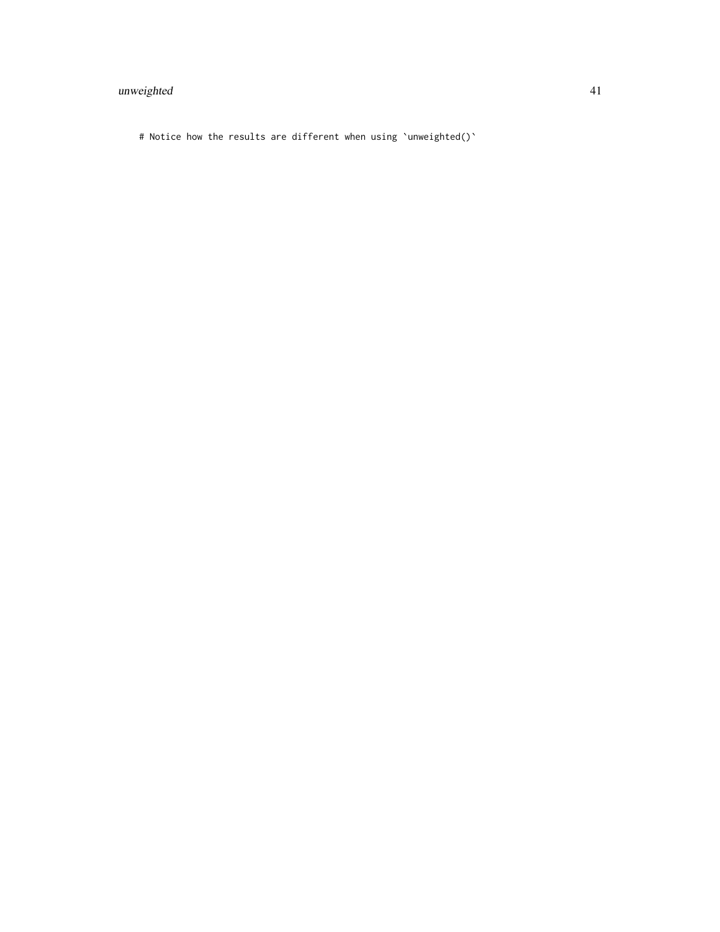## unweighted 41

# Notice how the results are different when using `unweighted()`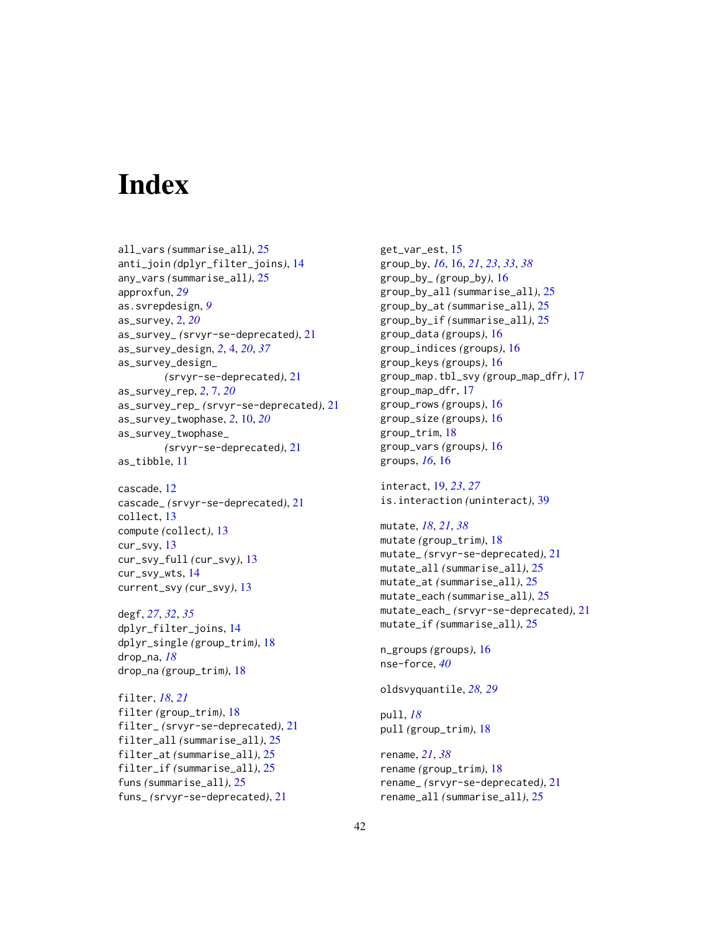# <span id="page-41-0"></span>**Index**

```
all_vars (summarise_all), 25
anti_join (dplyr_filter_joins), 14
any_vars (summarise_all), 25
approxfun, 29
as.svrepdesign, 9
as_survey, 2, 20
as_survey_ (srvyr-se-deprecated), 21
as_survey_design, 2, 4, 20, 37
as_survey_design_
        (srvyr-se-deprecated), 21
as_survey_rep, 2, 7, 20
as_survey_rep_ (srvyr-se-deprecated), 21
as_survey_twophase, 2, 10, 20
as_survey_twophase_
        (srvyr-se-deprecated), 21
as_tibble, 11
```
cascade, [12](#page-11-0) cascade\_ *(*srvyr-se-deprecated*)*, [21](#page-20-0) collect, [13](#page-12-0) compute *(*collect*)*, [13](#page-12-0) cur\_svy, [13](#page-12-0) cur\_svy\_full *(*cur\_svy*)*, [13](#page-12-0) cur\_svy\_wts, [14](#page-13-0) current\_svy *(*cur\_svy*)*, [13](#page-12-0)

degf, *[27](#page-26-0)*, *[32](#page-31-0)*, *[35](#page-34-0)* dplyr\_filter\_joins, [14](#page-13-0) dplyr\_single *(*group\_trim*)*, [18](#page-17-0) drop\_na, *[18](#page-17-0)* drop\_na *(*group\_trim*)*, [18](#page-17-0)

filter, *[18](#page-17-0)*, *[21](#page-20-0)* filter *(*group\_trim*)*, [18](#page-17-0) filter\_ *(*srvyr-se-deprecated*)*, [21](#page-20-0) filter\_all *(*summarise\_all*)*, [25](#page-24-0) filter\_at *(*summarise\_all*)*, [25](#page-24-0) filter\_if *(*summarise\_all*)*, [25](#page-24-0) funs *(*summarise\_all*)*, [25](#page-24-0) funs\_ *(*srvyr-se-deprecated*)*, [21](#page-20-0)

get\_var\_est, [15](#page-14-0) group\_by, *[16](#page-15-0)*, [16,](#page-15-0) *[21](#page-20-0)*, *[23](#page-22-0)*, *[33](#page-32-0)*, *[38](#page-37-0)* group\_by\_ *(*group\_by*)*, [16](#page-15-0) group\_by\_all *(*summarise\_all*)*, [25](#page-24-0) group\_by\_at *(*summarise\_all*)*, [25](#page-24-0) group\_by\_if *(*summarise\_all*)*, [25](#page-24-0) group\_data *(*groups*)*, [16](#page-15-0) group\_indices *(*groups*)*, [16](#page-15-0) group\_keys *(*groups*)*, [16](#page-15-0) group\_map.tbl\_svy *(*group\_map\_dfr*)*, [17](#page-16-0) group\_map\_dfr, [17](#page-16-0) group\_rows *(*groups*)*, [16](#page-15-0) group\_size *(*groups*)*, [16](#page-15-0) group\_trim, [18](#page-17-0) group\_vars *(*groups*)*, [16](#page-15-0) groups, *[16](#page-15-0)*, [16](#page-15-0)

interact, [19,](#page-18-0) *[23](#page-22-0)*, *[27](#page-26-0)* is.interaction *(*uninteract*)*, [39](#page-38-0)

mutate, *[18](#page-17-0)*, *[21](#page-20-0)*, *[38](#page-37-0)* mutate *(*group\_trim*)*, [18](#page-17-0) mutate\_ *(*srvyr-se-deprecated*)*, [21](#page-20-0) mutate\_all *(*summarise\_all*)*, [25](#page-24-0) mutate\_at *(*summarise\_all*)*, [25](#page-24-0) mutate\_each *(*summarise\_all*)*, [25](#page-24-0) mutate\_each\_ *(*srvyr-se-deprecated*)*, [21](#page-20-0) mutate\_if *(*summarise\_all*)*, [25](#page-24-0)

n\_groups *(*groups*)*, [16](#page-15-0) nse-force, *[40](#page-39-0)*

oldsvyquantile, *[28,](#page-27-0) [29](#page-28-0)*

pull, *[18](#page-17-0)* pull *(*group\_trim*)*, [18](#page-17-0)

rename, *[21](#page-20-0)*, *[38](#page-37-0)* rename *(*group\_trim*)*, [18](#page-17-0) rename\_ *(*srvyr-se-deprecated*)*, [21](#page-20-0) rename\_all *(*summarise\_all*)*, [25](#page-24-0)